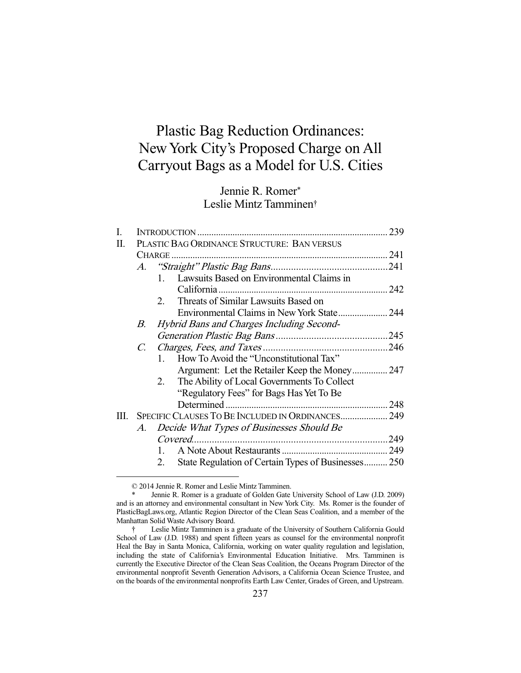# Plastic Bag Reduction Ordinances: New York City's Proposed Charge on All Carryout Bags as a Model for U.S. Cities

## Jennie R. Romer\* Leslie Mintz Tamminen†

| I.   |                                                   |                                                          |  |
|------|---------------------------------------------------|----------------------------------------------------------|--|
| П.   |                                                   | PLASTIC BAG ORDINANCE STRUCTURE: BAN VERSUS              |  |
|      |                                                   |                                                          |  |
|      |                                                   |                                                          |  |
|      |                                                   | Lawsuits Based on Environmental Claims in<br>1.          |  |
|      |                                                   |                                                          |  |
|      |                                                   | Threats of Similar Lawsuits Based on<br>$2_{\cdot}$      |  |
|      |                                                   |                                                          |  |
|      | В.                                                | Hybrid Bans and Charges Including Second-                |  |
|      |                                                   |                                                          |  |
|      | $C_{\cdot}$                                       |                                                          |  |
|      |                                                   | How To Avoid the "Unconstitutional Tax"<br>$\mathbf{1}$  |  |
|      |                                                   |                                                          |  |
|      |                                                   | The Ability of Local Governments To Collect<br>2.        |  |
|      |                                                   | "Regulatory Fees" for Bags Has Yet To Be                 |  |
|      |                                                   |                                                          |  |
| III. | SPECIFIC CLAUSES TO BE INCLUDED IN ORDINANCES 249 |                                                          |  |
|      | А.                                                | Decide What Types of Businesses Should Be                |  |
|      |                                                   |                                                          |  |
|      |                                                   | $\mathbf{1}$                                             |  |
|      |                                                   | State Regulation of Certain Types of Businesses250<br>2. |  |

© 2014 Jennie R. Romer and Leslie Mintz Tamminen.

Jennie R. Romer is a graduate of Golden Gate University School of Law (J.D. 2009) and is an attorney and environmental consultant in New York City. Ms. Romer is the founder of PlasticBagLaws.org, Atlantic Region Director of the Clean Seas Coalition, and a member of the Manhattan Solid Waste Advisory Board.

 <sup>†</sup> Leslie Mintz Tamminen is a graduate of the University of Southern California Gould School of Law (J.D. 1988) and spent fifteen years as counsel for the environmental nonprofit Heal the Bay in Santa Monica, California, working on water quality regulation and legislation, including the state of California's Environmental Education Initiative. Mrs. Tamminen is currently the Executive Director of the Clean Seas Coalition, the Oceans Program Director of the environmental nonprofit Seventh Generation Advisors, a California Ocean Science Trustee, and on the boards of the environmental nonprofits Earth Law Center, Grades of Green, and Upstream.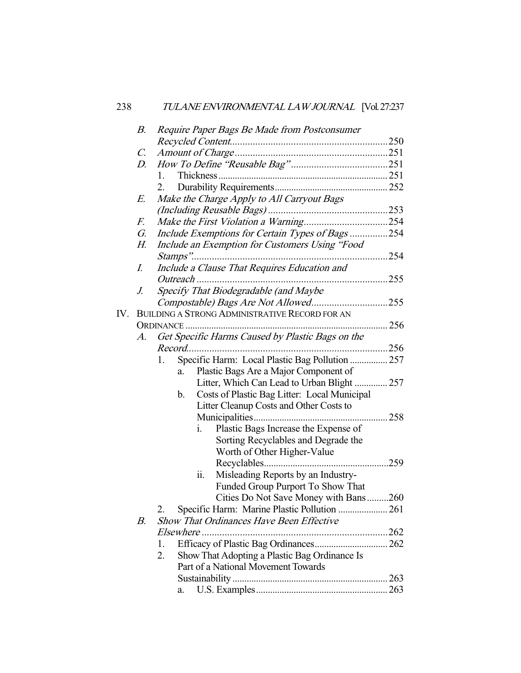|     | В.              | Require Paper Bags Be Made from Postconsumer          |      |
|-----|-----------------|-------------------------------------------------------|------|
|     |                 |                                                       |      |
|     | $\mathcal{C}$ . |                                                       |      |
|     | D.              |                                                       |      |
|     |                 | 1.                                                    |      |
|     |                 | 2.                                                    |      |
|     | E.              | Make the Charge Apply to All Carryout Bags            |      |
|     |                 |                                                       |      |
|     | F.              |                                                       |      |
|     | G.              | Include Exemptions for Certain Types of Bags254       |      |
|     | Н.              | Include an Exemption for Customers Using "Food        |      |
|     |                 | Stamps"                                               | .254 |
|     | I.              | Include a Clause That Requires Education and          |      |
|     |                 |                                                       |      |
|     | J.              | Specify That Biodegradable (and Maybe                 |      |
|     |                 | Compostable) Bags Are Not Allowed255                  |      |
| IV. |                 | BUILDING A STRONG ADMINISTRATIVE RECORD FOR AN        |      |
|     |                 |                                                       | 256  |
|     | A.              | Get Specific Harms Caused by Plastic Bags on the      |      |
|     |                 |                                                       |      |
|     |                 | Specific Harm: Local Plastic Bag Pollution  257<br>1. |      |
|     |                 | Plastic Bags Are a Major Component of<br>a.           |      |
|     |                 | Litter, Which Can Lead to Urban Blight  257           |      |
|     |                 | Costs of Plastic Bag Litter: Local Municipal<br>b.    |      |
|     |                 | Litter Cleanup Costs and Other Costs to               |      |
|     |                 |                                                       |      |
|     |                 | Plastic Bags Increase the Expense of<br>i.            |      |
|     |                 | Sorting Recyclables and Degrade the                   |      |
|     |                 | Worth of Other Higher-Value                           |      |
|     |                 |                                                       | .259 |
|     |                 | ii.<br>Misleading Reports by an Industry-             |      |
|     |                 | Funded Group Purport To Show That                     |      |
|     |                 | Cities Do Not Save Money with Bans260                 |      |
|     |                 | Specific Harm: Marine Plastic Pollution  261<br>2.    |      |
|     | В.              | <b>Show That Ordinances Have Been Effective</b>       |      |
|     |                 | Elsewhere                                             |      |
|     |                 | 1.                                                    |      |
|     |                 | Show That Adopting a Plastic Bag Ordinance Is<br>2.   |      |
|     |                 | Part of a National Movement Towards                   |      |
|     |                 |                                                       |      |
|     |                 | a.                                                    | 263  |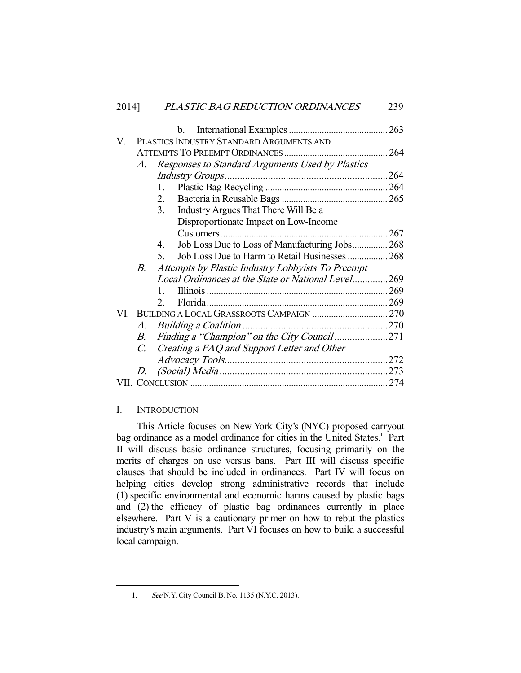| PLASTIC BAG REDUCTION ORDINANCES<br>2014] | 239 |
|-------------------------------------------|-----|
|-------------------------------------------|-----|

|    |                                                         | b.                                                            | 263 |  |
|----|---------------------------------------------------------|---------------------------------------------------------------|-----|--|
| V. | PLASTICS INDUSTRY STANDARD ARGUMENTS AND                |                                                               |     |  |
|    |                                                         |                                                               |     |  |
|    | A.                                                      | Responses to Standard Arguments Used by Plastics              |     |  |
|    |                                                         |                                                               |     |  |
|    |                                                         | $1_{-}$                                                       |     |  |
|    |                                                         | 2.                                                            |     |  |
|    |                                                         | Industry Argues That There Will Be a<br>3.                    |     |  |
|    |                                                         | Disproportionate Impact on Low-Income                         |     |  |
|    |                                                         |                                                               |     |  |
|    |                                                         | Job Loss Due to Loss of Manufacturing Jobs 268<br>4.          |     |  |
|    |                                                         | Job Loss Due to Harm to Retail Businesses  268<br>$5^{\circ}$ |     |  |
|    | Attempts by Plastic Industry Lobbyists To Preempt<br>B. |                                                               |     |  |
|    |                                                         | Local Ordinances at the State or National Level269            |     |  |
|    |                                                         | $\mathbf{1}$                                                  |     |  |
|    |                                                         | $2^{\circ}$                                                   |     |  |
|    |                                                         |                                                               |     |  |
|    | A.                                                      |                                                               |     |  |
|    | B.                                                      | Finding a "Champion" on the City Council 271                  |     |  |
|    | $C_{\cdot}$                                             | Creating a FAQ and Support Letter and Other                   |     |  |
|    |                                                         |                                                               |     |  |
|    | D.                                                      |                                                               |     |  |
|    |                                                         |                                                               |     |  |

## I. INTRODUCTION

-

 This Article focuses on New York City's (NYC) proposed carryout bag ordinance as a model ordinance for cities in the United States.<sup>1</sup> Part II will discuss basic ordinance structures, focusing primarily on the merits of charges on use versus bans. Part III will discuss specific clauses that should be included in ordinances. Part IV will focus on helping cities develop strong administrative records that include (1) specific environmental and economic harms caused by plastic bags and (2) the efficacy of plastic bag ordinances currently in place elsewhere. Part V is a cautionary primer on how to rebut the plastics industry's main arguments. Part VI focuses on how to build a successful local campaign.

 <sup>1.</sup> See N.Y. City Council B. No. 1135 (N.Y.C. 2013).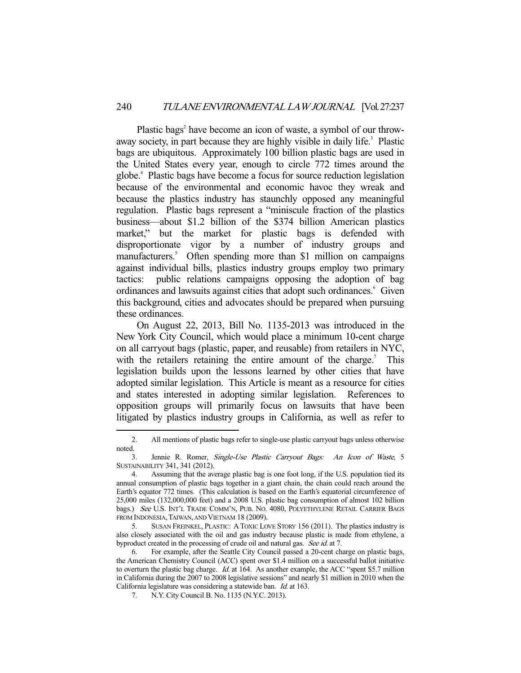Plastic bags<sup>2</sup> have become an icon of waste, a symbol of our throwaway society, in part because they are highly visible in daily life.<sup>3</sup> Plastic bags are ubiquitous. Approximately 100 billion plastic bags are used in the United States every year, enough to circle 772 times around the globe.4 Plastic bags have become a focus for source reduction legislation because of the environmental and economic havoc they wreak and because the plastics industry has staunchly opposed any meaningful regulation. Plastic bags represent a "miniscule fraction of the plastics business—about \$1.2 billion of the \$374 billion American plastics market," but the market for plastic bags is defended with disproportionate vigor by a number of industry groups and manufacturers.<sup>5</sup> Often spending more than \$1 million on campaigns against individual bills, plastics industry groups employ two primary tactics: public relations campaigns opposing the adoption of bag ordinances and lawsuits against cities that adopt such ordinances.<sup>6</sup> Given this background, cities and advocates should be prepared when pursuing these ordinances.

 On August 22, 2013, Bill No. 1135-2013 was introduced in the New York City Council, which would place a minimum 10-cent charge on all carryout bags (plastic, paper, and reusable) from retailers in NYC, with the retailers retaining the entire amount of the charge.<sup>7</sup> This legislation builds upon the lessons learned by other cities that have adopted similar legislation. This Article is meant as a resource for cities and states interested in adopting similar legislation. References to opposition groups will primarily focus on lawsuits that have been litigated by plastics industry groups in California, as well as refer to

 <sup>2.</sup> All mentions of plastic bags refer to single-use plastic carryout bags unless otherwise noted.

 <sup>3.</sup> Jennie R. Romer, Single-Use Plastic Carryout Bags: An Icon of Waste, 5 SUSTAINABILITY 341, 341 (2012).

 <sup>4.</sup> Assuming that the average plastic bag is one foot long, if the U.S. population tied its annual consumption of plastic bags together in a giant chain, the chain could reach around the Earth's equator 772 times. (This calculation is based on the Earth's equatorial circumference of 25,000 miles (132,000,000 feet) and a 2008 U.S. plastic bag consumption of almost 102 billion bags.) See U.S. INT'L TRADE COMM'N, PUB. NO. 4080, POLYETHYLENE RETAIL CARRIER BAGS FROM INDONESIA, TAIWAN, AND VIETNAM 18 (2009).

 <sup>5.</sup> SUSAN FREINKEL, PLASTIC: ATOXIC LOVE STORY 156 (2011). The plastics industry is also closely associated with the oil and gas industry because plastic is made from ethylene, a byproduct created in the processing of crude oil and natural gas. See id. at 7.

 <sup>6.</sup> For example, after the Seattle City Council passed a 20-cent charge on plastic bags, the American Chemistry Council (ACC) spent over \$1.4 million on a successful ballot initiative to overturn the plastic bag charge. Id. at 164. As another example, the ACC "spent \$5.7 million in California during the 2007 to 2008 legislative sessions" and nearly \$1 million in 2010 when the California legislature was considering a statewide ban. Id. at 163.

 <sup>7.</sup> N.Y. City Council B. No. 1135 (N.Y.C. 2013).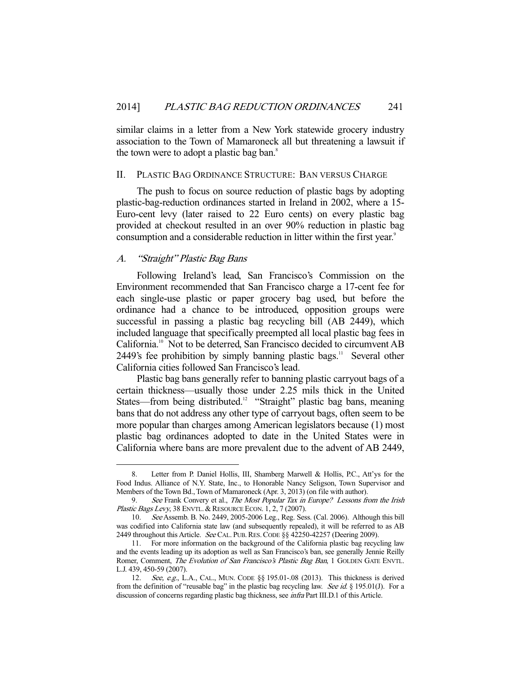similar claims in a letter from a New York statewide grocery industry association to the Town of Mamaroneck all but threatening a lawsuit if the town were to adopt a plastic bag ban.<sup>8</sup>

### II. PLASTIC BAG ORDINANCE STRUCTURE: BAN VERSUS CHARGE

 The push to focus on source reduction of plastic bags by adopting plastic-bag-reduction ordinances started in Ireland in 2002, where a 15- Euro-cent levy (later raised to 22 Euro cents) on every plastic bag provided at checkout resulted in an over 90% reduction in plastic bag consumption and a considerable reduction in litter within the first year.<sup>9</sup>

## A. "Straight" Plastic Bag Bans

-

 Following Ireland's lead, San Francisco's Commission on the Environment recommended that San Francisco charge a 17-cent fee for each single-use plastic or paper grocery bag used, but before the ordinance had a chance to be introduced, opposition groups were successful in passing a plastic bag recycling bill (AB 2449), which included language that specifically preempted all local plastic bag fees in California.10 Not to be deterred, San Francisco decided to circumvent AB 2449's fee prohibition by simply banning plastic bags. $\frac{11}{12}$  Several other California cities followed San Francisco's lead.

 Plastic bag bans generally refer to banning plastic carryout bags of a certain thickness—usually those under 2.25 mils thick in the United States—from being distributed.<sup>12</sup> "Straight" plastic bag bans, meaning bans that do not address any other type of carryout bags, often seem to be more popular than charges among American legislators because (1) most plastic bag ordinances adopted to date in the United States were in California where bans are more prevalent due to the advent of AB 2449,

 <sup>8.</sup> Letter from P. Daniel Hollis, III, Shamberg Marwell & Hollis, P.C., Att'ys for the Food Indus. Alliance of N.Y. State, Inc., to Honorable Nancy Seligson, Town Supervisor and Members of the Town Bd., Town of Mamaroneck (Apr. 3, 2013) (on file with author).

<sup>9.</sup> See Frank Convery et al., The Most Popular Tax in Europe? Lessons from the Irish Plastic Bags Levy, 38 ENVTL. & RESOURCE ECON. 1, 2, 7 (2007).

 <sup>10.</sup> See Assemb. B. No. 2449, 2005-2006 Leg., Reg. Sess. (Cal. 2006). Although this bill was codified into California state law (and subsequently repealed), it will be referred to as AB 2449 throughout this Article. See CAL. PUB. RES. CODE §§ 42250-42257 (Deering 2009).

 <sup>11.</sup> For more information on the background of the California plastic bag recycling law and the events leading up its adoption as well as San Francisco's ban, see generally Jennie Reilly Romer, Comment, The Evolution of San Francisco's Plastic Bag Ban, 1 GOLDEN GATE ENVTL. L.J. 439, 450-59 (2007).

<sup>12.</sup> See, e.g., L.A., CAL., MUN. CODE §§ 195.01-.08 (2013). This thickness is derived from the definition of "reusable bag" in the plastic bag recycling law. See id. § 195.01(J). For a discussion of concerns regarding plastic bag thickness, see infra Part III.D.1 of this Article.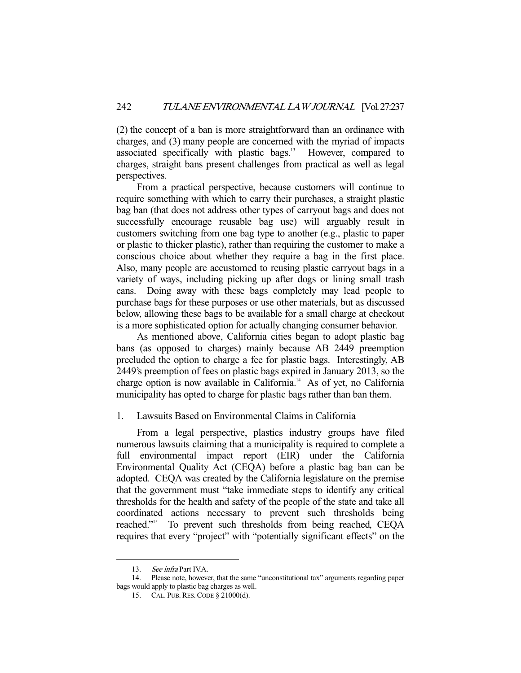(2) the concept of a ban is more straightforward than an ordinance with charges, and (3) many people are concerned with the myriad of impacts associated specifically with plastic bags.<sup>13</sup> However, compared to charges, straight bans present challenges from practical as well as legal perspectives.

 From a practical perspective, because customers will continue to require something with which to carry their purchases, a straight plastic bag ban (that does not address other types of carryout bags and does not successfully encourage reusable bag use) will arguably result in customers switching from one bag type to another (e.g., plastic to paper or plastic to thicker plastic), rather than requiring the customer to make a conscious choice about whether they require a bag in the first place. Also, many people are accustomed to reusing plastic carryout bags in a variety of ways, including picking up after dogs or lining small trash cans. Doing away with these bags completely may lead people to purchase bags for these purposes or use other materials, but as discussed below, allowing these bags to be available for a small charge at checkout is a more sophisticated option for actually changing consumer behavior.

 As mentioned above, California cities began to adopt plastic bag bans (as opposed to charges) mainly because AB 2449 preemption precluded the option to charge a fee for plastic bags. Interestingly, AB 2449's preemption of fees on plastic bags expired in January 2013, so the charge option is now available in California.<sup>14</sup> As of yet, no California municipality has opted to charge for plastic bags rather than ban them.

## 1. Lawsuits Based on Environmental Claims in California

 From a legal perspective, plastics industry groups have filed numerous lawsuits claiming that a municipality is required to complete a full environmental impact report (EIR) under the California Environmental Quality Act (CEQA) before a plastic bag ban can be adopted. CEQA was created by the California legislature on the premise that the government must "take immediate steps to identify any critical thresholds for the health and safety of the people of the state and take all coordinated actions necessary to prevent such thresholds being reached."15 To prevent such thresholds from being reached, CEQA requires that every "project" with "potentially significant effects" on the

<sup>13.</sup> See infra Part IV.A.<br>14. Please note, however

 <sup>14.</sup> Please note, however, that the same "unconstitutional tax" arguments regarding paper bags would apply to plastic bag charges as well.

 <sup>15.</sup> CAL. PUB.RES.CODE § 21000(d).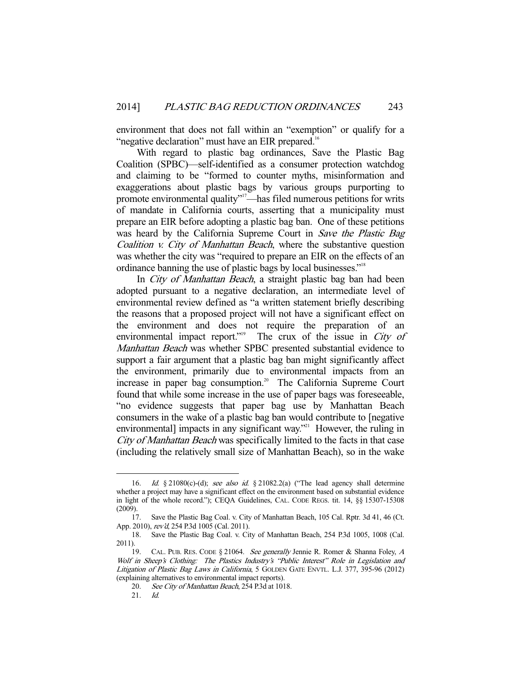environment that does not fall within an "exemption" or qualify for a "negative declaration" must have an EIR prepared.<sup>16</sup>

 With regard to plastic bag ordinances, Save the Plastic Bag Coalition (SPBC)—self-identified as a consumer protection watchdog and claiming to be "formed to counter myths, misinformation and exaggerations about plastic bags by various groups purporting to promote environmental quality"<sup>17</sup>—has filed numerous petitions for writs of mandate in California courts, asserting that a municipality must prepare an EIR before adopting a plastic bag ban. One of these petitions was heard by the California Supreme Court in Save the Plastic Bag Coalition v. City of Manhattan Beach, where the substantive question was whether the city was "required to prepare an EIR on the effects of an ordinance banning the use of plastic bags by local businesses."18

In City of Manhattan Beach, a straight plastic bag ban had been adopted pursuant to a negative declaration, an intermediate level of environmental review defined as "a written statement briefly describing the reasons that a proposed project will not have a significant effect on the environment and does not require the preparation of an environmental impact report."<sup>19</sup> The crux of the issue in City of Manhattan Beach was whether SPBC presented substantial evidence to support a fair argument that a plastic bag ban might significantly affect the environment, primarily due to environmental impacts from an increase in paper bag consumption.<sup>20</sup> The California Supreme Court found that while some increase in the use of paper bags was foreseeable, "no evidence suggests that paper bag use by Manhattan Beach consumers in the wake of a plastic bag ban would contribute to [negative environmental] impacts in any significant way."<sup>21</sup> However, the ruling in City of Manhattan Beach was specifically limited to the facts in that case (including the relatively small size of Manhattan Beach), so in the wake

<sup>16.</sup> Id. § 21080(c)-(d); see also id. § 21082.2(a) ("The lead agency shall determine whether a project may have a significant effect on the environment based on substantial evidence in light of the whole record."); CEQA Guidelines, CAL. CODE REGS. tit. 14, §§ 15307-15308 (2009).

 <sup>17.</sup> Save the Plastic Bag Coal. v. City of Manhattan Beach, 105 Cal. Rptr. 3d 41, 46 (Ct. App. 2010), rev'd, 254 P.3d 1005 (Cal. 2011).

 <sup>18.</sup> Save the Plastic Bag Coal. v. City of Manhattan Beach, 254 P.3d 1005, 1008 (Cal. 2011).

<sup>19.</sup> CAL. PUB. RES. CODE § 21064. See generally Jennie R. Romer & Shanna Foley, A Wolf in Sheep's Clothing: The Plastics Industry's "Public Interest" Role in Legislation and Litigation of Plastic Bag Laws in California, 5 GOLDEN GATE ENVTL. L.J. 377, 395-96 (2012) (explaining alternatives to environmental impact reports).

<sup>20.</sup> See City of Manhattan Beach, 254 P.3d at 1018.

 <sup>21.</sup> Id.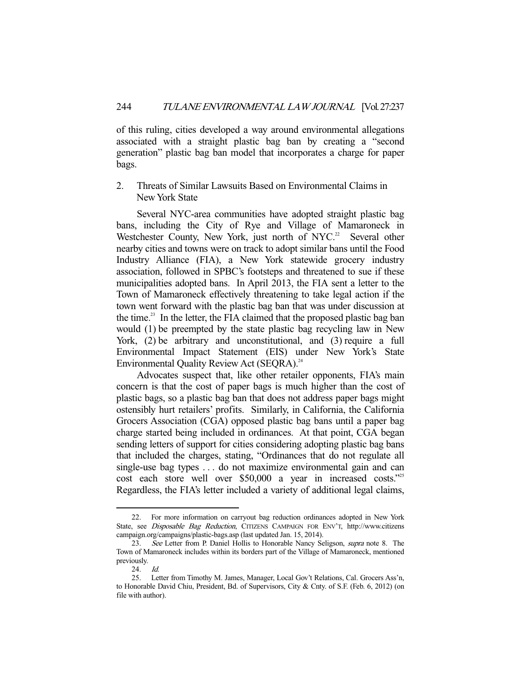of this ruling, cities developed a way around environmental allegations associated with a straight plastic bag ban by creating a "second generation" plastic bag ban model that incorporates a charge for paper bags.

2. Threats of Similar Lawsuits Based on Environmental Claims in New York State

 Several NYC-area communities have adopted straight plastic bag bans, including the City of Rye and Village of Mamaroneck in Westchester County, New York, just north of NYC.<sup>22</sup> Several other nearby cities and towns were on track to adopt similar bans until the Food Industry Alliance (FIA), a New York statewide grocery industry association, followed in SPBC's footsteps and threatened to sue if these municipalities adopted bans. In April 2013, the FIA sent a letter to the Town of Mamaroneck effectively threatening to take legal action if the town went forward with the plastic bag ban that was under discussion at the time.<sup>23</sup> In the letter, the FIA claimed that the proposed plastic bag ban would (1) be preempted by the state plastic bag recycling law in New York, (2) be arbitrary and unconstitutional, and (3) require a full Environmental Impact Statement (EIS) under New York's State Environmental Quality Review Act (SEQRA).<sup>24</sup>

 Advocates suspect that, like other retailer opponents, FIA's main concern is that the cost of paper bags is much higher than the cost of plastic bags, so a plastic bag ban that does not address paper bags might ostensibly hurt retailers' profits. Similarly, in California, the California Grocers Association (CGA) opposed plastic bag bans until a paper bag charge started being included in ordinances. At that point, CGA began sending letters of support for cities considering adopting plastic bag bans that included the charges, stating, "Ordinances that do not regulate all single-use bag types . . . do not maximize environmental gain and can cost each store well over \$50,000 a year in increased costs."<sup>25</sup> Regardless, the FIA's letter included a variety of additional legal claims,

 <sup>22.</sup> For more information on carryout bag reduction ordinances adopted in New York State, see Disposable Bag Reduction, CITIZENS CAMPAIGN FOR ENV'T, http://www.citizens campaign.org/campaigns/plastic-bags.asp (last updated Jan. 15, 2014).

<sup>23.</sup> See Letter from P. Daniel Hollis to Honorable Nancy Seligson, supra note 8. The Town of Mamaroneck includes within its borders part of the Village of Mamaroneck, mentioned previously.

 <sup>24.</sup> Id.

 <sup>25.</sup> Letter from Timothy M. James, Manager, Local Gov't Relations, Cal. Grocers Ass'n, to Honorable David Chiu, President, Bd. of Supervisors, City & Cnty. of S.F. (Feb. 6, 2012) (on file with author).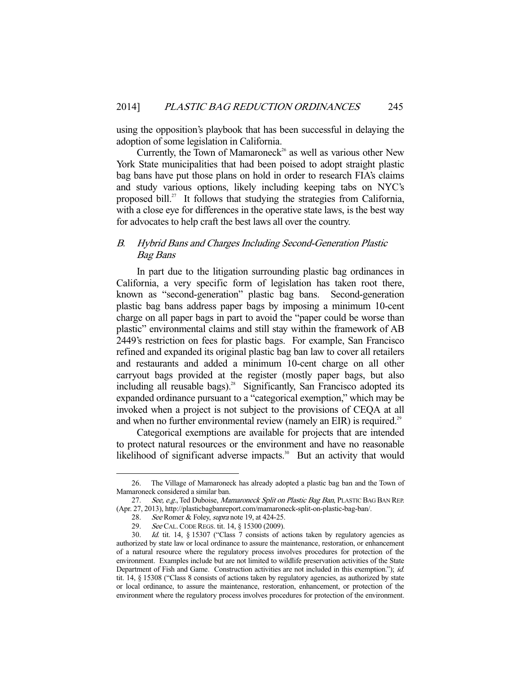using the opposition's playbook that has been successful in delaying the adoption of some legislation in California.

Currently, the Town of Mamaroneck<sup>26</sup> as well as various other New York State municipalities that had been poised to adopt straight plastic bag bans have put those plans on hold in order to research FIA's claims and study various options, likely including keeping tabs on NYC's proposed bill.<sup>27</sup> It follows that studying the strategies from California, with a close eye for differences in the operative state laws, is the best way for advocates to help craft the best laws all over the country.

## B. Hybrid Bans and Charges Including Second-Generation Plastic Bag Bans

 In part due to the litigation surrounding plastic bag ordinances in California, a very specific form of legislation has taken root there, known as "second-generation" plastic bag bans. Second-generation plastic bag bans address paper bags by imposing a minimum 10-cent charge on all paper bags in part to avoid the "paper could be worse than plastic" environmental claims and still stay within the framework of AB 2449's restriction on fees for plastic bags. For example, San Francisco refined and expanded its original plastic bag ban law to cover all retailers and restaurants and added a minimum 10-cent charge on all other carryout bags provided at the register (mostly paper bags, but also including all reusable bags).<sup>28</sup> Significantly, San Francisco adopted its expanded ordinance pursuant to a "categorical exemption," which may be invoked when a project is not subject to the provisions of CEQA at all and when no further environmental review (namely an EIR) is required.<sup>29</sup>

 Categorical exemptions are available for projects that are intended to protect natural resources or the environment and have no reasonable likelihood of significant adverse impacts. $30$  But an activity that would

 <sup>26.</sup> The Village of Mamaroneck has already adopted a plastic bag ban and the Town of Mamaroneck considered a similar ban.

<sup>27.</sup> See, e.g., Ted Duboise, Mamaroneck Split on Plastic Bag Ban, PLASTIC BAG BAN REP. (Apr. 27, 2013), http://plasticbagbanreport.com/mamaroneck-split-on-plastic-bag-ban/.

<sup>28.</sup> See Romer & Foley, supra note 19, at 424-25.

 <sup>29.</sup> See CAL.CODE REGS. tit. 14, § 15300 (2009).

 <sup>30.</sup> Id. tit. 14, § 15307 ("Class 7 consists of actions taken by regulatory agencies as authorized by state law or local ordinance to assure the maintenance, restoration, or enhancement of a natural resource where the regulatory process involves procedures for protection of the environment. Examples include but are not limited to wildlife preservation activities of the State Department of Fish and Game. Construction activities are not included in this exemption."); id. tit. 14, § 15308 ("Class 8 consists of actions taken by regulatory agencies, as authorized by state or local ordinance, to assure the maintenance, restoration, enhancement, or protection of the environment where the regulatory process involves procedures for protection of the environment.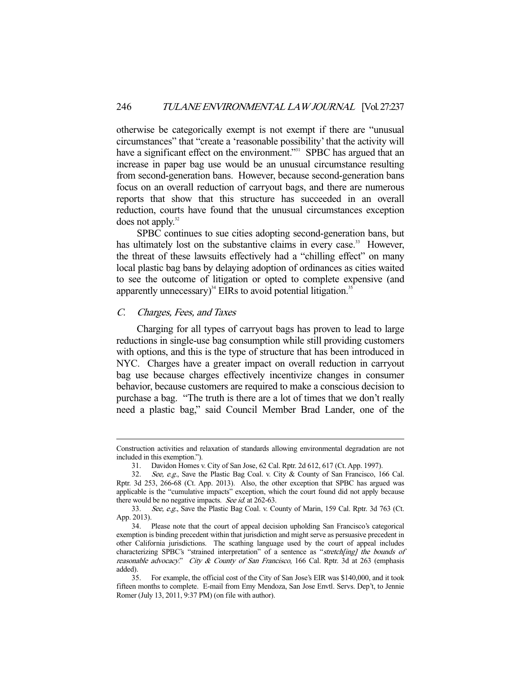otherwise be categorically exempt is not exempt if there are "unusual circumstances" that "create a 'reasonable possibility' that the activity will have a significant effect on the environment."<sup>31</sup> SPBC has argued that an increase in paper bag use would be an unusual circumstance resulting from second-generation bans. However, because second-generation bans focus on an overall reduction of carryout bags, and there are numerous reports that show that this structure has succeeded in an overall reduction, courts have found that the unusual circumstances exception does not apply. $32$ 

 SPBC continues to sue cities adopting second-generation bans, but has ultimately lost on the substantive claims in every case.<sup>33</sup> However, the threat of these lawsuits effectively had a "chilling effect" on many local plastic bag bans by delaying adoption of ordinances as cities waited to see the outcome of litigation or opted to complete expensive (and apparently unnecessary)<sup>34</sup> EIRs to avoid potential litigation.<sup>35</sup>

#### C. Charges, Fees, and Taxes

-

 Charging for all types of carryout bags has proven to lead to large reductions in single-use bag consumption while still providing customers with options, and this is the type of structure that has been introduced in NYC. Charges have a greater impact on overall reduction in carryout bag use because charges effectively incentivize changes in consumer behavior, because customers are required to make a conscious decision to purchase a bag. "The truth is there are a lot of times that we don't really need a plastic bag," said Council Member Brad Lander, one of the

Construction activities and relaxation of standards allowing environmental degradation are not included in this exemption.").

 <sup>31.</sup> Davidon Homes v. City of San Jose, 62 Cal. Rptr. 2d 612, 617 (Ct. App. 1997).

 <sup>32.</sup> See, e.g., Save the Plastic Bag Coal. v. City & County of San Francisco, 166 Cal. Rptr. 3d 253, 266-68 (Ct. App. 2013). Also, the other exception that SPBC has argued was applicable is the "cumulative impacts" exception, which the court found did not apply because there would be no negative impacts. See id. at 262-63.

<sup>33.</sup> See, e.g., Save the Plastic Bag Coal. v. County of Marin, 159 Cal. Rptr. 3d 763 (Ct. App. 2013).

 <sup>34.</sup> Please note that the court of appeal decision upholding San Francisco's categorical exemption is binding precedent within that jurisdiction and might serve as persuasive precedent in other California jurisdictions. The scathing language used by the court of appeal includes characterizing SPBC's "strained interpretation" of a sentence as "stretch[ing] the bounds of reasonable advocacy." City & County of San Francisco, 166 Cal. Rptr. 3d at 263 (emphasis added).

 <sup>35.</sup> For example, the official cost of the City of San Jose's EIR was \$140,000, and it took fifteen months to complete. E-mail from Emy Mendoza, San Jose Envtl. Servs. Dep't, to Jennie Romer (July 13, 2011, 9:37 PM) (on file with author).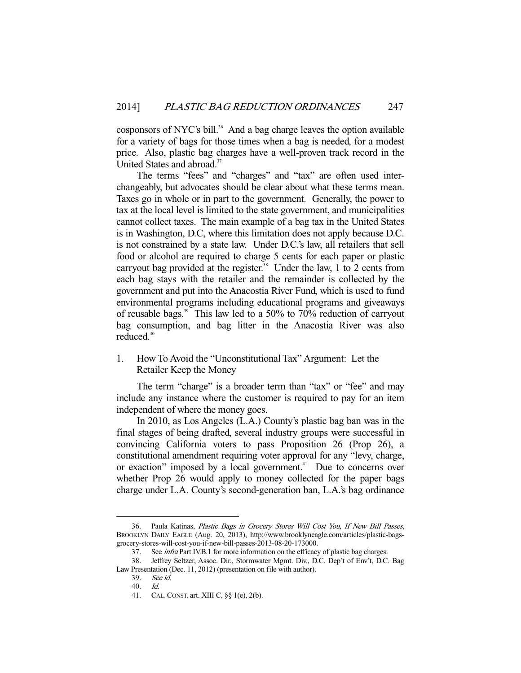cosponsors of NYC's bill.<sup>36</sup> And a bag charge leaves the option available for a variety of bags for those times when a bag is needed, for a modest price. Also, plastic bag charges have a well-proven track record in the United States and abroad.<sup>37</sup>

 The terms "fees" and "charges" and "tax" are often used interchangeably, but advocates should be clear about what these terms mean. Taxes go in whole or in part to the government. Generally, the power to tax at the local level is limited to the state government, and municipalities cannot collect taxes. The main example of a bag tax in the United States is in Washington, D.C, where this limitation does not apply because D.C. is not constrained by a state law. Under D.C.'s law, all retailers that sell food or alcohol are required to charge 5 cents for each paper or plastic carryout bag provided at the register.<sup>38</sup> Under the law, 1 to 2 cents from each bag stays with the retailer and the remainder is collected by the government and put into the Anacostia River Fund, which is used to fund environmental programs including educational programs and giveaways of reusable bags.39 This law led to a 50% to 70% reduction of carryout bag consumption, and bag litter in the Anacostia River was also reduced.<sup>40</sup>

1. How To Avoid the "Unconstitutional Tax" Argument: Let the Retailer Keep the Money

The term "charge" is a broader term than "tax" or "fee" and may include any instance where the customer is required to pay for an item independent of where the money goes.

 In 2010, as Los Angeles (L.A.) County's plastic bag ban was in the final stages of being drafted, several industry groups were successful in convincing California voters to pass Proposition 26 (Prop 26), a constitutional amendment requiring voter approval for any "levy, charge, or exaction" imposed by a local government. $41$  Due to concerns over whether Prop 26 would apply to money collected for the paper bags charge under L.A. County's second-generation ban, L.A.'s bag ordinance

 <sup>36.</sup> Paula Katinas, Plastic Bags in Grocery Stores Will Cost You, If New Bill Passes, BROOKLYN DAILY EAGLE (Aug. 20, 2013), http://www.brooklyneagle.com/articles/plastic-bagsgrocery-stores-will-cost-you-if-new-bill-passes-2013-08-20-173000.

<sup>37.</sup> See *infra* Part IV.B.1 for more information on the efficacy of plastic bag charges.

 <sup>38.</sup> Jeffrey Seltzer, Assoc. Dir., Stormwater Mgmt. Div., D.C. Dep't of Env't, D.C. Bag Law Presentation (Dec. 11, 2012) (presentation on file with author).

 <sup>39.</sup> See id.

 <sup>40.</sup> Id.

 <sup>41.</sup> CAL.CONST. art. XIII C, §§ 1(e), 2(b).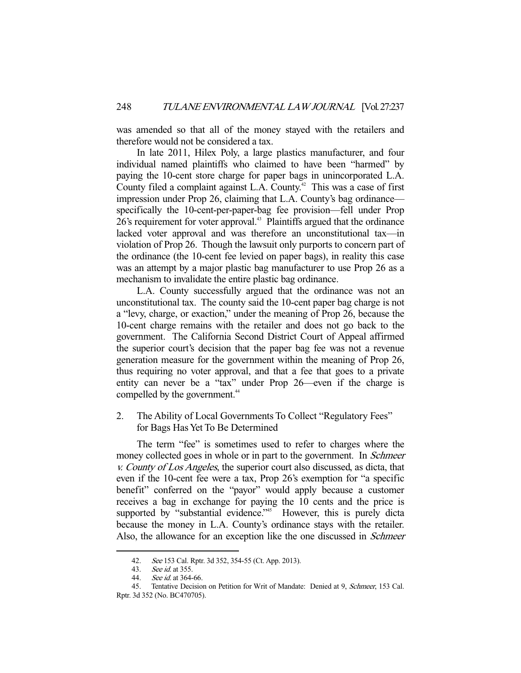was amended so that all of the money stayed with the retailers and therefore would not be considered a tax.

 In late 2011, Hilex Poly, a large plastics manufacturer, and four individual named plaintiffs who claimed to have been "harmed" by paying the 10-cent store charge for paper bags in unincorporated L.A. County filed a complaint against L.A. County.<sup> $42$ </sup> This was a case of first impression under Prop 26, claiming that L.A. County's bag ordinance specifically the 10-cent-per-paper-bag fee provision—fell under Prop 26's requirement for voter approval.<sup>43</sup> Plaintiffs argued that the ordinance lacked voter approval and was therefore an unconstitutional tax—in violation of Prop 26. Though the lawsuit only purports to concern part of the ordinance (the 10-cent fee levied on paper bags), in reality this case was an attempt by a major plastic bag manufacturer to use Prop 26 as a mechanism to invalidate the entire plastic bag ordinance.

 L.A. County successfully argued that the ordinance was not an unconstitutional tax. The county said the 10-cent paper bag charge is not a "levy, charge, or exaction," under the meaning of Prop 26, because the 10-cent charge remains with the retailer and does not go back to the government. The California Second District Court of Appeal affirmed the superior court's decision that the paper bag fee was not a revenue generation measure for the government within the meaning of Prop 26, thus requiring no voter approval, and that a fee that goes to a private entity can never be a "tax" under Prop 26—even if the charge is compelled by the government.<sup>44</sup>

2. The Ability of Local Governments To Collect "Regulatory Fees" for Bags Has Yet To Be Determined

 The term "fee" is sometimes used to refer to charges where the money collected goes in whole or in part to the government. In *Schmeer* v. County of Los Angeles, the superior court also discussed, as dicta, that even if the 10-cent fee were a tax, Prop 26's exemption for "a specific benefit" conferred on the "payor" would apply because a customer receives a bag in exchange for paying the 10 cents and the price is supported by "substantial evidence."<sup>45</sup> However, this is purely dicta because the money in L.A. County's ordinance stays with the retailer. Also, the allowance for an exception like the one discussed in *Schmeer* 

 <sup>42.</sup> See 153 Cal. Rptr. 3d 352, 354-55 (Ct. App. 2013).

 <sup>43.</sup> See id. at 355.

<sup>44.</sup> *See id.* at 364-66.

 <sup>45.</sup> Tentative Decision on Petition for Writ of Mandate: Denied at 9, Schmeer, 153 Cal. Rptr. 3d 352 (No. BC470705).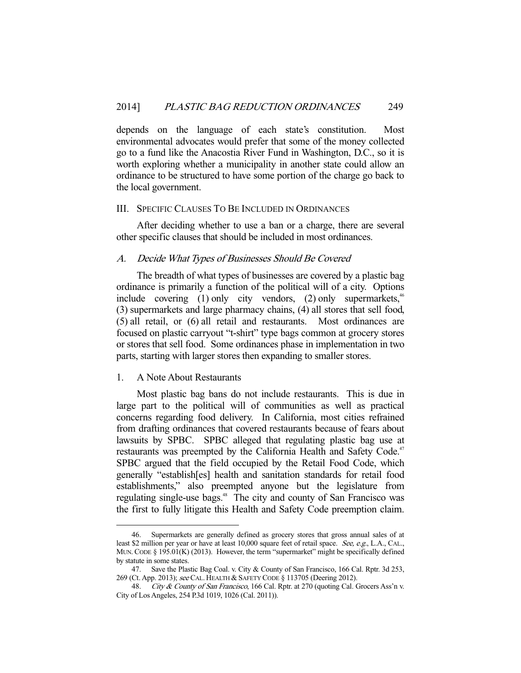depends on the language of each state's constitution. Most environmental advocates would prefer that some of the money collected go to a fund like the Anacostia River Fund in Washington, D.C., so it is worth exploring whether a municipality in another state could allow an ordinance to be structured to have some portion of the charge go back to the local government.

#### III. SPECIFIC CLAUSES TO BE INCLUDED IN ORDINANCES

 After deciding whether to use a ban or a charge, there are several other specific clauses that should be included in most ordinances.

## A. Decide What Types of Businesses Should Be Covered

 The breadth of what types of businesses are covered by a plastic bag ordinance is primarily a function of the political will of a city. Options include covering (1) only city vendors, (2) only supermarkets,  $46$ (3) supermarkets and large pharmacy chains, (4) all stores that sell food, (5) all retail, or (6) all retail and restaurants. Most ordinances are focused on plastic carryout "t-shirt" type bags common at grocery stores or stores that sell food. Some ordinances phase in implementation in two parts, starting with larger stores then expanding to smaller stores.

## 1. A Note About Restaurants

-

 Most plastic bag bans do not include restaurants. This is due in large part to the political will of communities as well as practical concerns regarding food delivery. In California, most cities refrained from drafting ordinances that covered restaurants because of fears about lawsuits by SPBC. SPBC alleged that regulating plastic bag use at restaurants was preempted by the California Health and Safety Code.<sup>47</sup> SPBC argued that the field occupied by the Retail Food Code, which generally "establish[es] health and sanitation standards for retail food establishments," also preempted anyone but the legislature from regulating single-use bags.<sup>48</sup> The city and county of San Francisco was the first to fully litigate this Health and Safety Code preemption claim.

 <sup>46.</sup> Supermarkets are generally defined as grocery stores that gross annual sales of at least \$2 million per year or have at least 10,000 square feet of retail space. See, e.g., L.A., CAL., MUN. CODE § 195.01(K) (2013). However, the term "supermarket" might be specifically defined by statute in some states.

 <sup>47.</sup> Save the Plastic Bag Coal. v. City & County of San Francisco, 166 Cal. Rptr. 3d 253, 269 (Ct. App. 2013); see CAL. HEALTH & SAFETY CODE § 113705 (Deering 2012).

<sup>48.</sup> City & County of San Francisco, 166 Cal. Rptr. at 270 (quoting Cal. Grocers Ass'n v. City of Los Angeles, 254 P.3d 1019, 1026 (Cal. 2011)).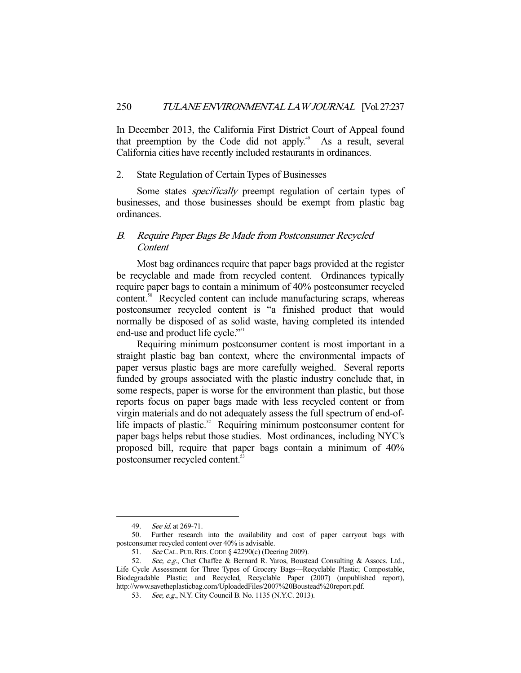In December 2013, the California First District Court of Appeal found that preemption by the Code did not apply.<sup> $49$ </sup> As a result, several California cities have recently included restaurants in ordinances.

#### 2. State Regulation of Certain Types of Businesses

Some states *specifically* preempt regulation of certain types of businesses, and those businesses should be exempt from plastic bag ordinances.

## B. Require Paper Bags Be Made from Postconsumer Recycled **Content**

 Most bag ordinances require that paper bags provided at the register be recyclable and made from recycled content. Ordinances typically require paper bags to contain a minimum of 40% postconsumer recycled content.<sup>50</sup> Recycled content can include manufacturing scraps, whereas postconsumer recycled content is "a finished product that would normally be disposed of as solid waste, having completed its intended end-use and product life cycle."<sup>51</sup>

 Requiring minimum postconsumer content is most important in a straight plastic bag ban context, where the environmental impacts of paper versus plastic bags are more carefully weighed. Several reports funded by groups associated with the plastic industry conclude that, in some respects, paper is worse for the environment than plastic, but those reports focus on paper bags made with less recycled content or from virgin materials and do not adequately assess the full spectrum of end-oflife impacts of plastic. $52$  Requiring minimum postconsumer content for paper bags helps rebut those studies. Most ordinances, including NYC's proposed bill, require that paper bags contain a minimum of 40% postconsumer recycled content.53

 <sup>49.</sup> See id. at 269-71.

 <sup>50.</sup> Further research into the availability and cost of paper carryout bags with postconsumer recycled content over 40% is advisable.

 <sup>51.</sup> See CAL. PUB.RES.CODE § 42290(c) (Deering 2009).

 <sup>52.</sup> See, e.g., Chet Chaffee & Bernard R. Yaros, Boustead Consulting & Assocs. Ltd., Life Cycle Assessment for Three Types of Grocery Bags—Recyclable Plastic; Compostable, Biodegradable Plastic; and Recycled, Recyclable Paper (2007) (unpublished report), http://www.savetheplasticbag.com/UploadedFiles/2007%20Boustead%20report.pdf.

 <sup>53.</sup> See, e.g., N.Y. City Council B. No. 1135 (N.Y.C. 2013).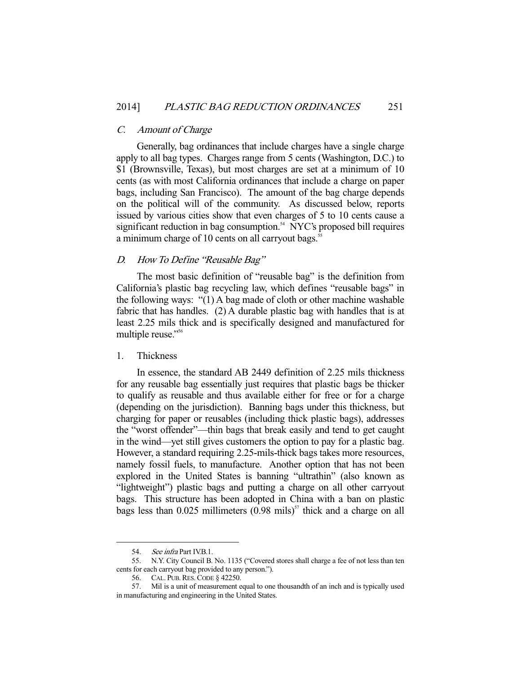#### C. Amount of Charge

 Generally, bag ordinances that include charges have a single charge apply to all bag types. Charges range from 5 cents (Washington, D.C.) to \$1 (Brownsville, Texas), but most charges are set at a minimum of 10 cents (as with most California ordinances that include a charge on paper bags, including San Francisco). The amount of the bag charge depends on the political will of the community. As discussed below, reports issued by various cities show that even charges of 5 to 10 cents cause a significant reduction in bag consumption. $54$  NYC's proposed bill requires a minimum charge of 10 cents on all carryout bags.<sup>55</sup>

#### D. How To Define "Reusable Bag"

 The most basic definition of "reusable bag" is the definition from California's plastic bag recycling law, which defines "reusable bags" in the following ways: "(1) A bag made of cloth or other machine washable fabric that has handles. (2) A durable plastic bag with handles that is at least 2.25 mils thick and is specifically designed and manufactured for multiple reuse."<sup>56</sup>

#### 1. Thickness

 In essence, the standard AB 2449 definition of 2.25 mils thickness for any reusable bag essentially just requires that plastic bags be thicker to qualify as reusable and thus available either for free or for a charge (depending on the jurisdiction). Banning bags under this thickness, but charging for paper or reusables (including thick plastic bags), addresses the "worst offender"—thin bags that break easily and tend to get caught in the wind—yet still gives customers the option to pay for a plastic bag. However, a standard requiring 2.25-mils-thick bags takes more resources, namely fossil fuels, to manufacture. Another option that has not been explored in the United States is banning "ultrathin" (also known as "lightweight") plastic bags and putting a charge on all other carryout bags. This structure has been adopted in China with a ban on plastic bags less than  $0.025$  millimeters  $(0.98 \text{ miles})^{57}$  thick and a charge on all

<sup>54.</sup> See infra Part IV.B.1.

 <sup>55.</sup> N.Y. City Council B. No. 1135 ("Covered stores shall charge a fee of not less than ten cents for each carryout bag provided to any person.").

 <sup>56.</sup> CAL. PUB.RES.CODE § 42250.

 <sup>57.</sup> Mil is a unit of measurement equal to one thousandth of an inch and is typically used in manufacturing and engineering in the United States.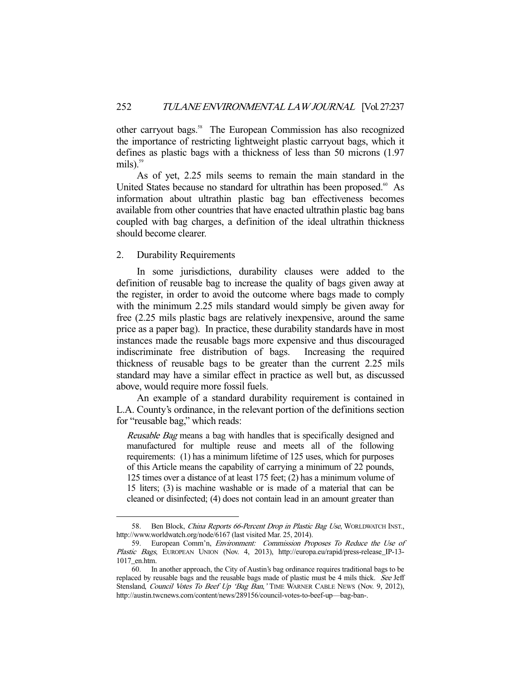other carryout bags.<sup>58</sup> The European Commission has also recognized the importance of restricting lightweight plastic carryout bags, which it defines as plastic bags with a thickness of less than 50 microns (1.97 mils). $59$ 

 As of yet, 2.25 mils seems to remain the main standard in the United States because no standard for ultrathin has been proposed.<sup>60</sup> As information about ultrathin plastic bag ban effectiveness becomes available from other countries that have enacted ultrathin plastic bag bans coupled with bag charges, a definition of the ideal ultrathin thickness should become clearer.

## 2. Durability Requirements

-

 In some jurisdictions, durability clauses were added to the definition of reusable bag to increase the quality of bags given away at the register, in order to avoid the outcome where bags made to comply with the minimum 2.25 mils standard would simply be given away for free (2.25 mils plastic bags are relatively inexpensive, around the same price as a paper bag). In practice, these durability standards have in most instances made the reusable bags more expensive and thus discouraged indiscriminate free distribution of bags. Increasing the required thickness of reusable bags to be greater than the current 2.25 mils standard may have a similar effect in practice as well but, as discussed above, would require more fossil fuels.

 An example of a standard durability requirement is contained in L.A. County's ordinance, in the relevant portion of the definitions section for "reusable bag," which reads:

Reusable Bag means a bag with handles that is specifically designed and manufactured for multiple reuse and meets all of the following requirements: (1) has a minimum lifetime of 125 uses, which for purposes of this Article means the capability of carrying a minimum of 22 pounds, 125 times over a distance of at least 175 feet; (2) has a minimum volume of 15 liters; (3) is machine washable or is made of a material that can be cleaned or disinfected; (4) does not contain lead in an amount greater than

<sup>58.</sup> Ben Block, China Reports 66-Percent Drop in Plastic Bag Use, WORLDWATCH INST., http://www.worldwatch.org/node/6167 (last visited Mar. 25, 2014).

 <sup>59.</sup> European Comm'n, Environment: Commission Proposes To Reduce the Use of Plastic Bags, EUROPEAN UNION (Nov. 4, 2013), http://europa.eu/rapid/press-release\_IP-13-1017\_en.htm.

 <sup>60.</sup> In another approach, the City of Austin's bag ordinance requires traditional bags to be replaced by reusable bags and the reusable bags made of plastic must be 4 mils thick. See Jeff Stensland, Council Votes To Beef Up 'Bag Ban,' TIME WARNER CABLE NEWS (Nov. 9, 2012), http://austin.twcnews.com/content/news/289156/council-votes-to-beef-up—bag-ban-.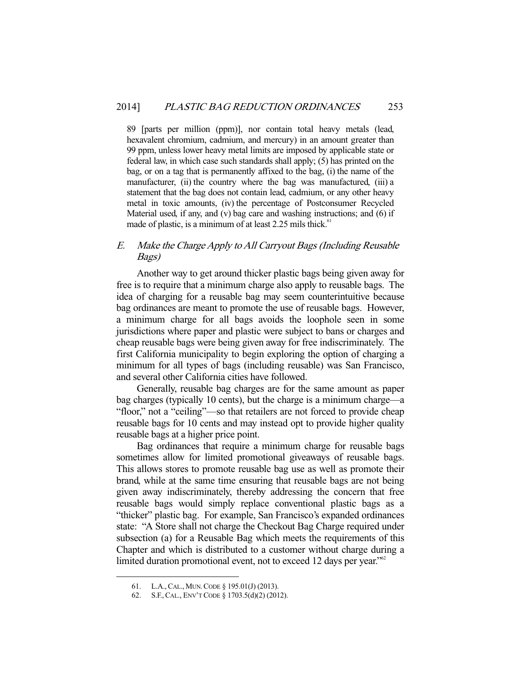89 [parts per million (ppm)], nor contain total heavy metals (lead, hexavalent chromium, cadmium, and mercury) in an amount greater than 99 ppm, unless lower heavy metal limits are imposed by applicable state or federal law, in which case such standards shall apply; (5) has printed on the bag, or on a tag that is permanently affixed to the bag, (i) the name of the manufacturer, (ii) the country where the bag was manufactured, (iii) a statement that the bag does not contain lead, cadmium, or any other heavy metal in toxic amounts, (iv) the percentage of Postconsumer Recycled Material used, if any, and (v) bag care and washing instructions; and (6) if made of plastic, is a minimum of at least  $2.25$  mils thick.<sup>61</sup>

## E. Make the Charge Apply to All Carryout Bags (Including Reusable Bags)

 Another way to get around thicker plastic bags being given away for free is to require that a minimum charge also apply to reusable bags. The idea of charging for a reusable bag may seem counterintuitive because bag ordinances are meant to promote the use of reusable bags. However, a minimum charge for all bags avoids the loophole seen in some jurisdictions where paper and plastic were subject to bans or charges and cheap reusable bags were being given away for free indiscriminately. The first California municipality to begin exploring the option of charging a minimum for all types of bags (including reusable) was San Francisco, and several other California cities have followed.

 Generally, reusable bag charges are for the same amount as paper bag charges (typically 10 cents), but the charge is a minimum charge—a "floor," not a "ceiling"—so that retailers are not forced to provide cheap reusable bags for 10 cents and may instead opt to provide higher quality reusable bags at a higher price point.

 Bag ordinances that require a minimum charge for reusable bags sometimes allow for limited promotional giveaways of reusable bags. This allows stores to promote reusable bag use as well as promote their brand, while at the same time ensuring that reusable bags are not being given away indiscriminately, thereby addressing the concern that free reusable bags would simply replace conventional plastic bags as a "thicker" plastic bag. For example, San Francisco's expanded ordinances state: "A Store shall not charge the Checkout Bag Charge required under subsection (a) for a Reusable Bag which meets the requirements of this Chapter and which is distributed to a customer without charge during a limited duration promotional event, not to exceed 12 days per year."<sup>62</sup>

 <sup>61.</sup> L.A.,CAL., MUN.CODE § 195.01(J) (2013).

 <sup>62.</sup> S.F.,CAL., ENV'T CODE § 1703.5(d)(2) (2012).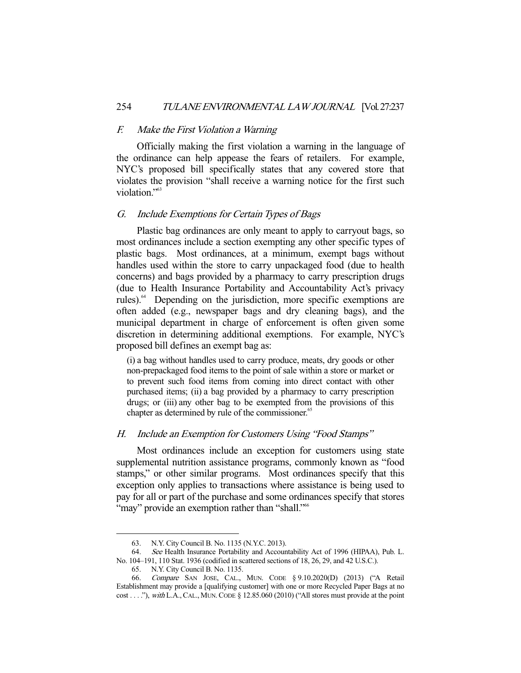#### F. Make the First Violation a Warning

 Officially making the first violation a warning in the language of the ordinance can help appease the fears of retailers. For example, NYC's proposed bill specifically states that any covered store that violates the provision "shall receive a warning notice for the first such violation."<sup>63</sup>

## G. Include Exemptions for Certain Types of Bags

 Plastic bag ordinances are only meant to apply to carryout bags, so most ordinances include a section exempting any other specific types of plastic bags. Most ordinances, at a minimum, exempt bags without handles used within the store to carry unpackaged food (due to health concerns) and bags provided by a pharmacy to carry prescription drugs (due to Health Insurance Portability and Accountability Act's privacy rules).<sup>64</sup> Depending on the jurisdiction, more specific exemptions are often added (e.g., newspaper bags and dry cleaning bags), and the municipal department in charge of enforcement is often given some discretion in determining additional exemptions. For example, NYC's proposed bill defines an exempt bag as:

(i) a bag without handles used to carry produce, meats, dry goods or other non-prepackaged food items to the point of sale within a store or market or to prevent such food items from coming into direct contact with other purchased items; (ii) a bag provided by a pharmacy to carry prescription drugs; or (iii) any other bag to be exempted from the provisions of this chapter as determined by rule of the commissioner.<sup>65</sup>

## H. Include an Exemption for Customers Using "Food Stamps"

 Most ordinances include an exception for customers using state supplemental nutrition assistance programs, commonly known as "food stamps," or other similar programs. Most ordinances specify that this exception only applies to transactions where assistance is being used to pay for all or part of the purchase and some ordinances specify that stores "may" provide an exemption rather than "shall."<sup>66</sup>

 <sup>63.</sup> N.Y. City Council B. No. 1135 (N.Y.C. 2013).

 <sup>64.</sup> See Health Insurance Portability and Accountability Act of 1996 (HIPAA), Pub. L. No. 104–191, 110 Stat. 1936 (codified in scattered sections of 18, 26, 29, and 42 U.S.C.).

 <sup>65.</sup> N.Y. City Council B. No. 1135.

 <sup>66.</sup> Compare SAN JOSE, CAL., MUN. CODE § 9.10.2020(D) (2013) ("A Retail Establishment may provide a [qualifying customer] with one or more Recycled Paper Bags at no cost . . . "), with L.A., CAL., MUN. CODE § 12.85.060 (2010) ("All stores must provide at the point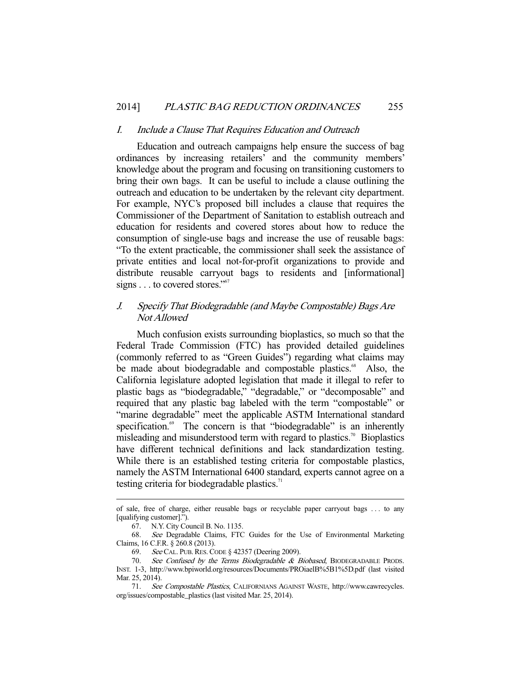#### I. Include a Clause That Requires Education and Outreach

 Education and outreach campaigns help ensure the success of bag ordinances by increasing retailers' and the community members' knowledge about the program and focusing on transitioning customers to bring their own bags. It can be useful to include a clause outlining the outreach and education to be undertaken by the relevant city department. For example, NYC's proposed bill includes a clause that requires the Commissioner of the Department of Sanitation to establish outreach and education for residents and covered stores about how to reduce the consumption of single-use bags and increase the use of reusable bags: "To the extent practicable, the commissioner shall seek the assistance of private entities and local not-for-profit organizations to provide and distribute reusable carryout bags to residents and [informational] signs . . . to covered stores."<sup>67</sup>

## J. Specify That Biodegradable (and Maybe Compostable) Bags Are Not Allowed

 Much confusion exists surrounding bioplastics, so much so that the Federal Trade Commission (FTC) has provided detailed guidelines (commonly referred to as "Green Guides") regarding what claims may be made about biodegradable and compostable plastics.<sup>68</sup> Also, the California legislature adopted legislation that made it illegal to refer to plastic bags as "biodegradable," "degradable," or "decomposable" and required that any plastic bag labeled with the term "compostable" or "marine degradable" meet the applicable ASTM International standard specification.<sup>69</sup> The concern is that "biodegradable" is an inherently misleading and misunderstood term with regard to plastics.<sup>70</sup> Bioplastics have different technical definitions and lack standardization testing. While there is an established testing criteria for compostable plastics, namely the ASTM International 6400 standard, experts cannot agree on a testing criteria for biodegradable plastics. $\frac{1}{1}$ 

of sale, free of charge, either reusable bags or recyclable paper carryout bags . . . to any [qualifying customer].").

 <sup>67.</sup> N.Y. City Council B. No. 1135.

 <sup>68.</sup> See Degradable Claims, FTC Guides for the Use of Environmental Marketing Claims, 16 C.F.R. § 260.8 (2013).

 <sup>69.</sup> See CAL. PUB.RES.CODE § 42357 (Deering 2009).

<sup>70.</sup> See Confused by the Terms Biodegradable & Biobased, BIODEGRADABLE PRODS. INST. 1-3, http://www.bpiworld.org/resources/Documents/PROiaelB%5B1%5D.pdf (last visited Mar. 25, 2014).

 <sup>71.</sup> See Compostable Plastics, CALIFORNIANS AGAINST WASTE, http://www.cawrecycles. org/issues/compostable\_plastics (last visited Mar. 25, 2014).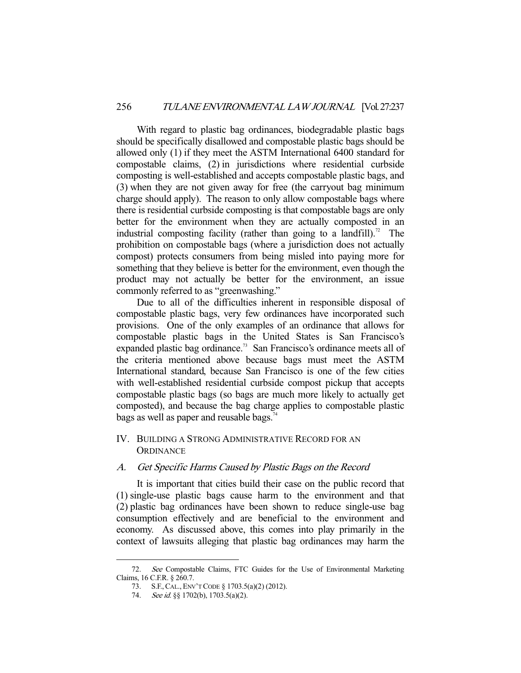With regard to plastic bag ordinances, biodegradable plastic bags should be specifically disallowed and compostable plastic bags should be allowed only (1) if they meet the ASTM International 6400 standard for compostable claims, (2) in jurisdictions where residential curbside composting is well-established and accepts compostable plastic bags, and (3) when they are not given away for free (the carryout bag minimum charge should apply). The reason to only allow compostable bags where there is residential curbside composting is that compostable bags are only better for the environment when they are actually composted in an industrial composting facility (rather than going to a landfill).<sup>72</sup> The prohibition on compostable bags (where a jurisdiction does not actually compost) protects consumers from being misled into paying more for something that they believe is better for the environment, even though the product may not actually be better for the environment, an issue commonly referred to as "greenwashing."

 Due to all of the difficulties inherent in responsible disposal of compostable plastic bags, very few ordinances have incorporated such provisions. One of the only examples of an ordinance that allows for compostable plastic bags in the United States is San Francisco's expanded plastic bag ordinance.<sup>73</sup> San Francisco's ordinance meets all of the criteria mentioned above because bags must meet the ASTM International standard, because San Francisco is one of the few cities with well-established residential curbside compost pickup that accepts compostable plastic bags (so bags are much more likely to actually get composted), and because the bag charge applies to compostable plastic bags as well as paper and reusable bags. $74$ 

## IV. BUILDING A STRONG ADMINISTRATIVE RECORD FOR AN **ORDINANCE**

## A. Get Specific Harms Caused by Plastic Bags on the Record

 It is important that cities build their case on the public record that (1) single-use plastic bags cause harm to the environment and that (2) plastic bag ordinances have been shown to reduce single-use bag consumption effectively and are beneficial to the environment and economy. As discussed above, this comes into play primarily in the context of lawsuits alleging that plastic bag ordinances may harm the

 <sup>72.</sup> See Compostable Claims, FTC Guides for the Use of Environmental Marketing Claims, 16 C.F.R. § 260.7.

 <sup>73.</sup> S.F.,CAL., ENV'T CODE § 1703.5(a)(2) (2012).

<sup>74.</sup> See id. §§ 1702(b), 1703.5(a)(2).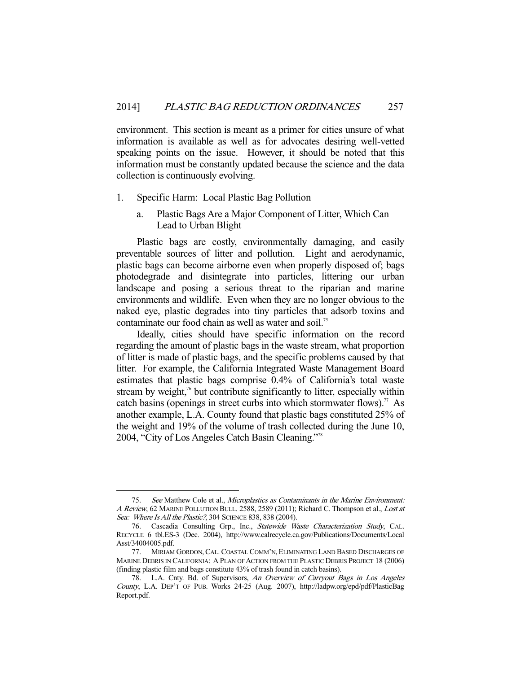environment. This section is meant as a primer for cities unsure of what information is available as well as for advocates desiring well-vetted speaking points on the issue. However, it should be noted that this information must be constantly updated because the science and the data collection is continuously evolving.

#### 1. Specific Harm: Local Plastic Bag Pollution

a. Plastic Bags Are a Major Component of Litter, Which Can Lead to Urban Blight

 Plastic bags are costly, environmentally damaging, and easily preventable sources of litter and pollution. Light and aerodynamic, plastic bags can become airborne even when properly disposed of; bags photodegrade and disintegrate into particles, littering our urban landscape and posing a serious threat to the riparian and marine environments and wildlife. Even when they are no longer obvious to the naked eye, plastic degrades into tiny particles that adsorb toxins and contaminate our food chain as well as water and soil.<sup>75</sup>

 Ideally, cities should have specific information on the record regarding the amount of plastic bags in the waste stream, what proportion of litter is made of plastic bags, and the specific problems caused by that litter. For example, the California Integrated Waste Management Board estimates that plastic bags comprise 0.4% of California's total waste stream by weight, $\frac{7}{6}$  but contribute significantly to litter, especially within catch basins (openings in street curbs into which stormwater flows).<sup>77</sup> As another example, L.A. County found that plastic bags constituted 25% of the weight and 19% of the volume of trash collected during the June 10, 2004, "City of Los Angeles Catch Basin Cleaning."78

 <sup>75.</sup> See Matthew Cole et al., Microplastics as Contaminants in the Marine Environment: A Review, 62 MARINE POLLUTION BULL. 2588, 2589 (2011); Richard C. Thompson et al., Lost at Sea: Where Is All the Plastic?, 304 SCIENCE 838, 838 (2004).

 <sup>76.</sup> Cascadia Consulting Grp., Inc., Statewide Waste Characterization Study, CAL. RECYCLE 6 tbl.ES-3 (Dec. 2004), http://www.calrecycle.ca.gov/Publications/Documents/Local Asst/34004005.pdf.

 <sup>77.</sup> MIRIAM GORDON, CAL. COASTAL COMM'N, ELIMINATING LAND BASED DISCHARGES OF MARINE DEBRIS IN CALIFORNIA: A PLAN OF ACTION FROM THE PLASTIC DEBRIS PROJECT 18 (2006) (finding plastic film and bags constitute 43% of trash found in catch basins).

<sup>78.</sup> L.A. Cnty. Bd. of Supervisors, An Overview of Carryout Bags in Los Angeles County, L.A. DEP'T OF PUB. Works 24-25 (Aug. 2007), http://ladpw.org/epd/pdf/PlasticBag Report.pdf.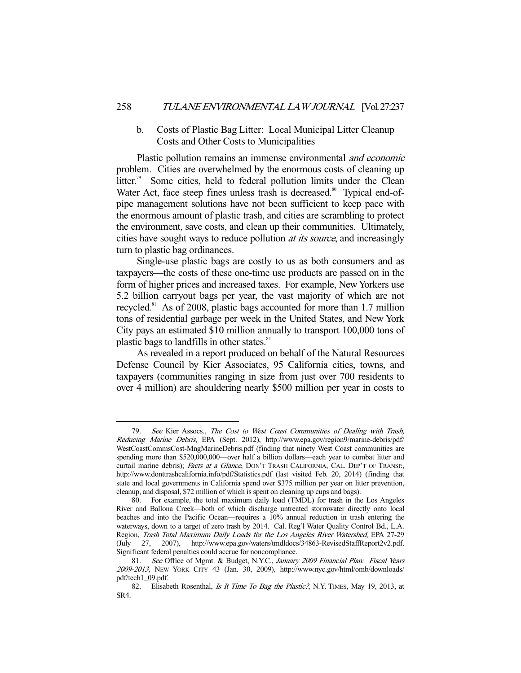## b. Costs of Plastic Bag Litter: Local Municipal Litter Cleanup Costs and Other Costs to Municipalities

Plastic pollution remains an immense environmental *and economic* problem. Cities are overwhelmed by the enormous costs of cleaning up litter.<sup>79</sup> Some cities, held to federal pollution limits under the Clean Water Act, face steep fines unless trash is decreased.<sup>80</sup> Typical end-ofpipe management solutions have not been sufficient to keep pace with the enormous amount of plastic trash, and cities are scrambling to protect the environment, save costs, and clean up their communities. Ultimately, cities have sought ways to reduce pollution *at its source*, and increasingly turn to plastic bag ordinances.

 Single-use plastic bags are costly to us as both consumers and as taxpayers—the costs of these one-time use products are passed on in the form of higher prices and increased taxes. For example, New Yorkers use 5.2 billion carryout bags per year, the vast majority of which are not recycled.<sup>81</sup> As of 2008, plastic bags accounted for more than 1.7 million tons of residential garbage per week in the United States, and New York City pays an estimated \$10 million annually to transport 100,000 tons of plastic bags to landfills in other states.<sup>82</sup>

 As revealed in a report produced on behalf of the Natural Resources Defense Council by Kier Associates, 95 California cities, towns, and taxpayers (communities ranging in size from just over 700 residents to over 4 million) are shouldering nearly \$500 million per year in costs to

<sup>79.</sup> See Kier Assocs., The Cost to West Coast Communities of Dealing with Trash, Reducing Marine Debris, EPA (Sept. 2012), http://www.epa.gov/region9/marine-debris/pdf/ WestCoastCommsCost-MngMarineDebris.pdf (finding that ninety West Coast communities are spending more than \$520,000,000—over half a billion dollars—each year to combat litter and curtail marine debris); Facts at a Glance, DON'T TRASH CALIFORNIA, CAL. DEP'T OF TRANSP., http://www.donttrashcalifornia.info/pdf/Statistics.pdf (last visited Feb. 20, 2014) (finding that state and local governments in California spend over \$375 million per year on litter prevention, cleanup, and disposal, \$72 million of which is spent on cleaning up cups and bags).

 <sup>80.</sup> For example, the total maximum daily load (TMDL) for trash in the Los Angeles River and Ballona Creek—both of which discharge untreated stormwater directly onto local beaches and into the Pacific Ocean—requires a 10% annual reduction in trash entering the waterways, down to a target of zero trash by 2014. Cal. Reg'l Water Quality Control Bd., L.A. Region, Trash Total Maximum Daily Loads for the Los Angeles River Watershed, EPA 27-29 (July 27, 2007), http://www.epa.gov/waters/tmdldocs/34863-RevisedStaffReport2v2.pdf. Significant federal penalties could accrue for noncompliance.

<sup>81.</sup> See Office of Mgmt. & Budget, N.Y.C., January 2009 Financial Plan: Fiscal Years 2009-2013, NEW YORK CITY 43 (Jan. 30, 2009), http://www.nyc.gov/html/omb/downloads/ pdf/tech1\_09.pdf.

<sup>82.</sup> Elisabeth Rosenthal, *Is It Time To Bag the Plastic?*, N.Y. TIMES, May 19, 2013, at SR4.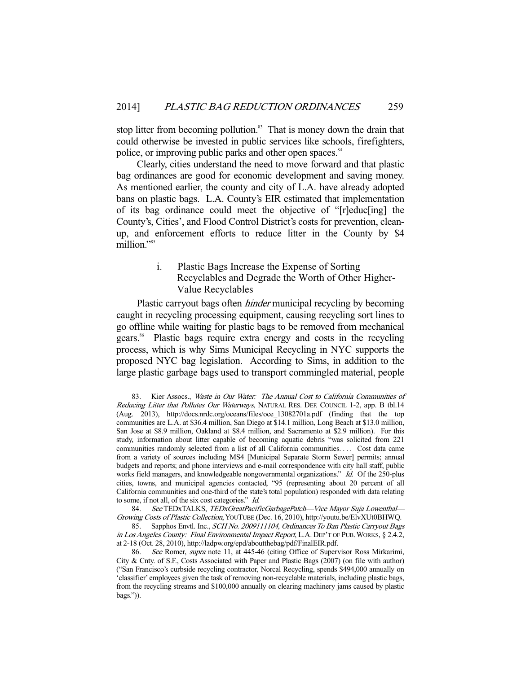stop litter from becoming pollution.<sup>83</sup> That is money down the drain that could otherwise be invested in public services like schools, firefighters, police, or improving public parks and other open spaces.<sup>84</sup>

 Clearly, cities understand the need to move forward and that plastic bag ordinances are good for economic development and saving money. As mentioned earlier, the county and city of L.A. have already adopted bans on plastic bags. L.A. County's EIR estimated that implementation of its bag ordinance could meet the objective of "[r]educ[ing] the County's, Cities', and Flood Control District's costs for prevention, cleanup, and enforcement efforts to reduce litter in the County by \$4 million."<sup>85</sup>

## i. Plastic Bags Increase the Expense of Sorting Recyclables and Degrade the Worth of Other Higher-Value Recyclables

 Plastic carryout bags often hinder municipal recycling by becoming caught in recycling processing equipment, causing recycling sort lines to go offline while waiting for plastic bags to be removed from mechanical gears.<sup>86</sup> Plastic bags require extra energy and costs in the recycling process, which is why Sims Municipal Recycling in NYC supports the proposed NYC bag legislation. According to Sims, in addition to the large plastic garbage bags used to transport commingled material, people

<sup>83.</sup> Kier Assocs., Waste in Our Water: The Annual Cost to California Communities of Reducing Litter that Pollutes Our Waterways, NATURAL RES. DEF. COUNCIL 1-2, app. B tbl.14 (Aug. 2013), http://docs.nrdc.org/oceans/files/oce\_13082701a.pdf (finding that the top communities are L.A. at \$36.4 million, San Diego at \$14.1 million, Long Beach at \$13.0 million, San Jose at \$8.9 million, Oakland at \$8.4 million, and Sacramento at \$2.9 million). For this study, information about litter capable of becoming aquatic debris "was solicited from 221 communities randomly selected from a list of all California communities. . . . Cost data came from a variety of sources including MS4 [Municipal Separate Storm Sewer] permits; annual budgets and reports; and phone interviews and e-mail correspondence with city hall staff, public works field managers, and knowledgeable nongovernmental organizations." Id. Of the 250-plus cities, towns, and municipal agencies contacted, "95 (representing about 20 percent of all California communities and one-third of the state's total population) responded with data relating to some, if not all, of the six cost categories." Id.

<sup>84.</sup> See TEDxTALKS, TEDxGreatPacificGarbagePatch—Vice Mayor Suja Lowenthal— Growing Costs of Plastic Collection, YOUTUBE (Dec. 16, 2010), http://youtu.be/ElvXUt0BHWQ.

<sup>85.</sup> Sapphos Envtl. Inc., SCH No. 2009111104, Ordinances To Ban Plastic Carryout Bags in Los Angeles County: Final Environmental Impact Report, L.A. DEP'T OF PUB.WORKS, § 2.4.2, at 2-18 (Oct. 28, 2010), http://ladpw.org/epd/aboutthebag/pdf/FinalEIR.pdf.

<sup>86.</sup> See Romer, supra note 11, at 445-46 (citing Office of Supervisor Ross Mirkarimi, City & Cnty. of S.F., Costs Associated with Paper and Plastic Bags (2007) (on file with author) ("San Francisco's curbside recycling contractor, Norcal Recycling, spends \$494,000 annually on 'classifier' employees given the task of removing non-recyclable materials, including plastic bags, from the recycling streams and \$100,000 annually on clearing machinery jams caused by plastic bags.")).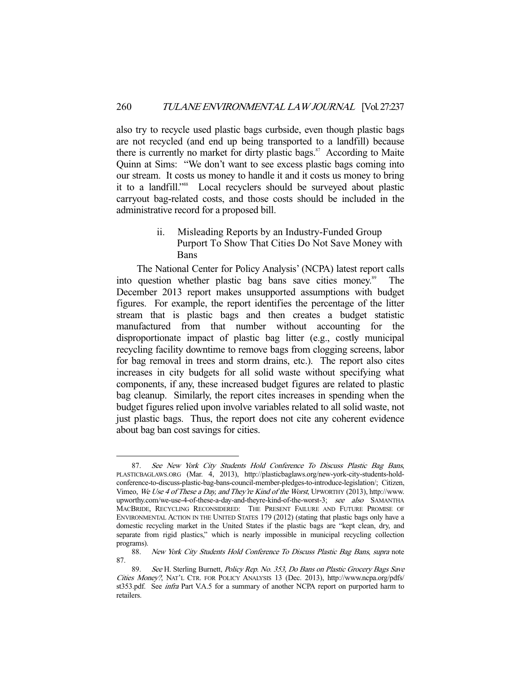also try to recycle used plastic bags curbside, even though plastic bags are not recycled (and end up being transported to a landfill) because there is currently no market for dirty plastic bags. $87$  According to Maite Quinn at Sims: "We don't want to see excess plastic bags coming into our stream. It costs us money to handle it and it costs us money to bring it to a landfill."88 Local recyclers should be surveyed about plastic carryout bag-related costs, and those costs should be included in the administrative record for a proposed bill.

## ii. Misleading Reports by an Industry-Funded Group Purport To Show That Cities Do Not Save Money with Bans

 The National Center for Policy Analysis' (NCPA) latest report calls into question whether plastic bag bans save cities money.<sup>89</sup> The December 2013 report makes unsupported assumptions with budget figures. For example, the report identifies the percentage of the litter stream that is plastic bags and then creates a budget statistic manufactured from that number without accounting for the disproportionate impact of plastic bag litter (e.g., costly municipal recycling facility downtime to remove bags from clogging screens, labor for bag removal in trees and storm drains, etc.). The report also cites increases in city budgets for all solid waste without specifying what components, if any, these increased budget figures are related to plastic bag cleanup. Similarly, the report cites increases in spending when the budget figures relied upon involve variables related to all solid waste, not just plastic bags. Thus, the report does not cite any coherent evidence about bag ban cost savings for cities.

 <sup>87.</sup> See New York City Students Hold Conference To Discuss Plastic Bag Bans, PLASTICBAGLAWS.ORG (Mar. 4, 2013), http://plasticbaglaws.org/new-york-city-students-holdconference-to-discuss-plastic-bag-bans-council-member-pledges-to-introduce-legislation/; Citizen, Vimeo, We Use 4 of These a Day, and They're Kind of the Worst, UPWORTHY (2013), http://www. upworthy.com/we-use-4-of-these-a-day-and-theyre-kind-of-the-worst-3; see also SAMANTHA MACBRIDE, RECYCLING RECONSIDERED: THE PRESENT FAILURE AND FUTURE PROMISE OF ENVIRONMENTAL ACTION IN THE UNITED STATES 179 (2012) (stating that plastic bags only have a domestic recycling market in the United States if the plastic bags are "kept clean, dry, and separate from rigid plastics," which is nearly impossible in municipal recycling collection programs).

 <sup>88.</sup> New York City Students Hold Conference To Discuss Plastic Bag Bans, supra note 87.

 <sup>89.</sup> See H. Sterling Burnett, Policy Rep. No. 353, Do Bans on Plastic Grocery Bags Save Cities Money?, NAT'L CTR. FOR POLICY ANALYSIS 13 (Dec. 2013), http://www.ncpa.org/pdfs/ st353.pdf. See infra Part V.A.5 for a summary of another NCPA report on purported harm to retailers.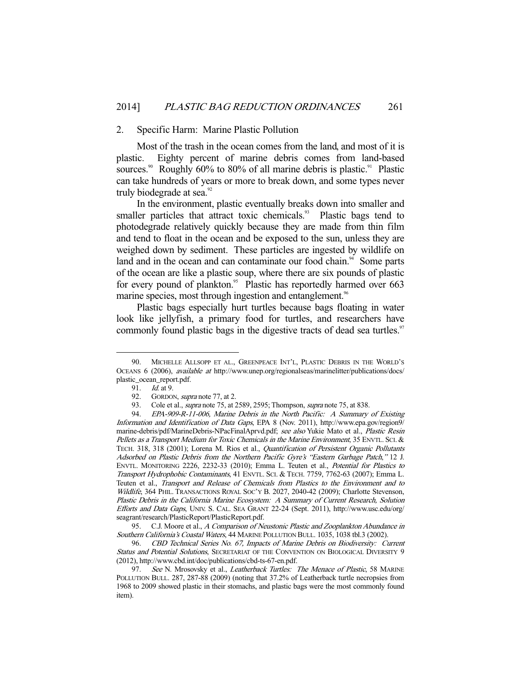#### 2. Specific Harm: Marine Plastic Pollution

 Most of the trash in the ocean comes from the land, and most of it is plastic. Eighty percent of marine debris comes from land-based sources.<sup>90</sup> Roughly  $60\%$  to  $80\%$  of all marine debris is plastic.<sup>91</sup> Plastic can take hundreds of years or more to break down, and some types never truly biodegrade at sea.<sup>92</sup>

 In the environment, plastic eventually breaks down into smaller and smaller particles that attract toxic chemicals.<sup>93</sup> Plastic bags tend to photodegrade relatively quickly because they are made from thin film and tend to float in the ocean and be exposed to the sun, unless they are weighed down by sediment. These particles are ingested by wildlife on land and in the ocean and can contaminate our food chain.<sup>94</sup> Some parts of the ocean are like a plastic soup, where there are six pounds of plastic for every pound of plankton.<sup>95</sup> Plastic has reportedly harmed over 663 marine species, most through ingestion and entanglement.<sup>96</sup>

 Plastic bags especially hurt turtles because bags floating in water look like jellyfish, a primary food for turtles, and researchers have commonly found plastic bags in the digestive tracts of dead sea turtles.<sup>97</sup>

 <sup>90.</sup> MICHELLE ALLSOPP ET AL., GREENPEACE INT'L, PLASTIC DEBRIS IN THE WORLD'S OCEANS 6 (2006), available at http://www.unep.org/regionalseas/marinelitter/publications/docs/ plastic\_ocean\_report.pdf.

<sup>91.</sup> *Id.* at 9.

<sup>92.</sup> GORDON, *supra* note 77, at 2.

<sup>93.</sup> Cole et al., *supra* note 75, at 2589, 2595; Thompson, *supra* note 75, at 838.

 <sup>94.</sup> EPA-909-R-11-006, Marine Debris in the North Pacific: A Summary of Existing Information and Identification of Data Gaps, EPA 8 (Nov. 2011), http://www.epa.gov/region9/ marine-debris/pdf/MarineDebris-NPacFinalAprvd.pdf; see also Yukie Mato et al., Plastic Resin Pellets as a Transport Medium for Toxic Chemicals in the Marine Environment, 35 ENVTL. SCI. & TECH. 318, 318 (2001); Lorena M. Rios et al., Quantification of Persistent Organic Pollutants Adsorbed on Plastic Debris from the Northern Pacific Gyre's "Eastern Garbage Patch," 12 J. ENVTL. MONITORING 2226, 2232-33 (2010); Emma L. Teuten et al., Potential for Plastics to Transport Hydrophobic Contaminants, 41 ENVTL. SCI. & TECH. 7759, 7762-63 (2007); Emma L. Teuten et al., Transport and Release of Chemicals from Plastics to the Environment and to Wildlife, 364 PHIL. TRANSACTIONS ROYAL SOC'Y B. 2027, 2040-42 (2009); Charlotte Stevenson, Plastic Debris in the California Marine Ecosystem: A Summary of Current Research, Solution Efforts and Data Gaps, UNIV. S. CAL. SEA GRANT 22-24 (Sept. 2011), http://www.usc.edu/org/ seagrant/research/PlasticReport/PlasticReport.pdf.

<sup>95.</sup> C.J. Moore et al., A Comparison of Neustonic Plastic and Zooplankton Abundance in Southern California's Coastal Waters, 44 MARINE POLLUTION BULL. 1035, 1038 tbl.3 (2002).

 <sup>96.</sup> CBD Technical Series No. 67, Impacts of Marine Debris on Biodiversity: Current Status and Potential Solutions, SECRETARIAT OF THE CONVENTION ON BIOLOGICAL DIVERSITY 9 (2012), http://www.cbd.int/doc/publications/cbd-ts-67-en.pdf.

<sup>97.</sup> See N. Mrosovsky et al., Leatherback Turtles: The Menace of Plastic, 58 MARINE POLLUTION BULL. 287, 287-88 (2009) (noting that 37.2% of Leatherback turtle necropsies from 1968 to 2009 showed plastic in their stomachs, and plastic bags were the most commonly found item).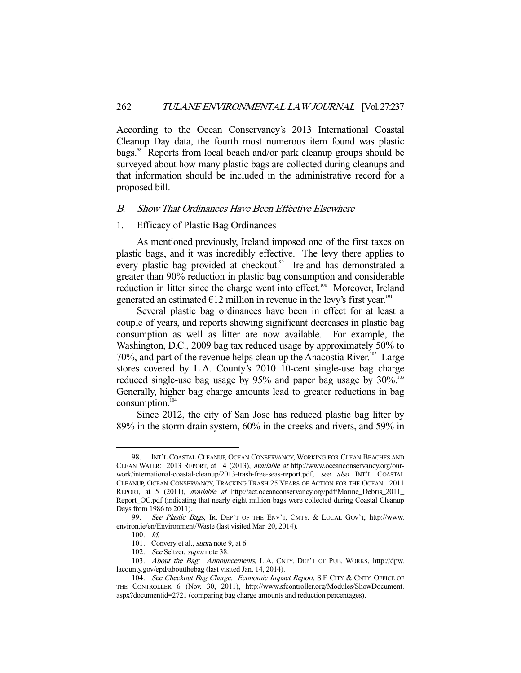According to the Ocean Conservancy's 2013 International Coastal Cleanup Day data, the fourth most numerous item found was plastic bags.<sup>98</sup> Reports from local beach and/or park cleanup groups should be surveyed about how many plastic bags are collected during cleanups and that information should be included in the administrative record for a proposed bill.

#### B. Show That Ordinances Have Been Effective Elsewhere

#### 1. Efficacy of Plastic Bag Ordinances

 As mentioned previously, Ireland imposed one of the first taxes on plastic bags, and it was incredibly effective. The levy there applies to every plastic bag provided at checkout.<sup>99</sup> Ireland has demonstrated a greater than 90% reduction in plastic bag consumption and considerable reduction in litter since the charge went into effect.<sup>100</sup> Moreover, Ireland generated an estimated  $E12$  million in revenue in the levy's first year.<sup>101</sup>

 Several plastic bag ordinances have been in effect for at least a couple of years, and reports showing significant decreases in plastic bag consumption as well as litter are now available. For example, the Washington, D.C., 2009 bag tax reduced usage by approximately 50% to 70%, and part of the revenue helps clean up the Anacostia River. $102$  Large stores covered by L.A. County's 2010 10-cent single-use bag charge reduced single-use bag usage by 95% and paper bag usage by 30%.<sup>103</sup> Generally, higher bag charge amounts lead to greater reductions in bag  $consumption.<sup>104</sup>$ 

 Since 2012, the city of San Jose has reduced plastic bag litter by 89% in the storm drain system, 60% in the creeks and rivers, and 59% in

 <sup>98.</sup> INT'L COASTAL CLEANUP, OCEAN CONSERVANCY, WORKING FOR CLEAN BEACHES AND CLEAN WATER: 2013 REPORT, at 14 (2013), available at http://www.oceanconservancy.org/ourwork/international-coastal-cleanup/2013-trash-free-seas-report.pdf; see also INT'L COASTAL CLEANUP, OCEAN CONSERVANCY, TRACKING TRASH 25 YEARS OF ACTION FOR THE OCEAN: 2011 REPORT, at 5 (2011), available at http://act.oceanconservancy.org/pdf/Marine\_Debris\_2011\_ Report\_OC.pdf (indicating that nearly eight million bags were collected during Coastal Cleanup Days from 1986 to 2011).<br>99. See Plastic B

See Plastic Bags, IR. DEP'T OF THE ENV'T, CMTY. & LOCAL GOV'T, http://www. environ.ie/en/Environment/Waste (last visited Mar. 20, 2014).

 <sup>100.</sup> Id.

<sup>101.</sup> Convery et al., *supra* note 9, at 6.

<sup>102.</sup> See Seltzer, supra note 38.

 <sup>103.</sup> About the Bag: Announcements, L.A. CNTY. DEP'T OF PUB. WORKS, http://dpw. lacounty.gov/epd/aboutthebag (last visited Jan. 14, 2014).

<sup>104.</sup> See Checkout Bag Charge: Economic Impact Report, S.F. CITY & CNTY. OFFICE OF THE CONTROLLER 6 (Nov. 30, 2011), http://www.sfcontroller.org/Modules/ShowDocument. aspx?documentid=2721 (comparing bag charge amounts and reduction percentages).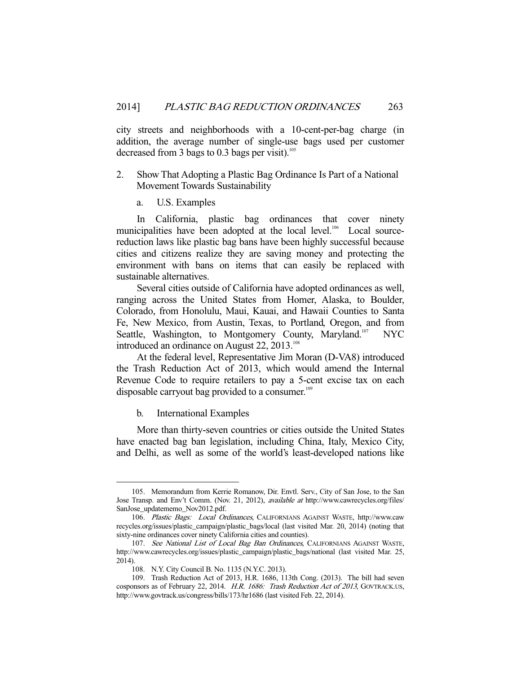city streets and neighborhoods with a 10-cent-per-bag charge (in addition, the average number of single-use bags used per customer decreased from 3 bags to  $0.3$  bags per visit).<sup>105</sup>

- 2. Show That Adopting a Plastic Bag Ordinance Is Part of a National Movement Towards Sustainability
	- a. U.S. Examples

 In California, plastic bag ordinances that cover ninety municipalities have been adopted at the local level.<sup>106</sup> Local sourcereduction laws like plastic bag bans have been highly successful because cities and citizens realize they are saving money and protecting the environment with bans on items that can easily be replaced with sustainable alternatives.

 Several cities outside of California have adopted ordinances as well, ranging across the United States from Homer, Alaska, to Boulder, Colorado, from Honolulu, Maui, Kauai, and Hawaii Counties to Santa Fe, New Mexico, from Austin, Texas, to Portland, Oregon, and from Seattle, Washington, to Montgomery County, Maryland.<sup>107</sup> NYC introduced an ordinance on August 22, 2013.<sup>108</sup>

 At the federal level, Representative Jim Moran (D-VA8) introduced the Trash Reduction Act of 2013, which would amend the Internal Revenue Code to require retailers to pay a 5-cent excise tax on each disposable carryout bag provided to a consumer.<sup>109</sup>

b. International Examples

-

 More than thirty-seven countries or cities outside the United States have enacted bag ban legislation, including China, Italy, Mexico City, and Delhi, as well as some of the world's least-developed nations like

 <sup>105.</sup> Memorandum from Kerrie Romanow, Dir. Envtl. Serv., City of San Jose, to the San Jose Transp. and Env't Comm. (Nov. 21, 2012), available at http://www.cawrecycles.org/files/ SanJose\_updatememo\_Nov2012.pdf.

 <sup>106.</sup> Plastic Bags: Local Ordinances, CALIFORNIANS AGAINST WASTE, http://www.caw recycles.org/issues/plastic\_campaign/plastic\_bags/local (last visited Mar. 20, 2014) (noting that sixty-nine ordinances cover ninety California cities and counties).

<sup>107.</sup> See National List of Local Bag Ban Ordinances, CALIFORNIANS AGAINST WASTE, http://www.cawrecycles.org/issues/plastic\_campaign/plastic\_bags/national (last visited Mar. 25, 2014).

 <sup>108.</sup> N.Y. City Council B. No. 1135 (N.Y.C. 2013).

 <sup>109.</sup> Trash Reduction Act of 2013, H.R. 1686, 113th Cong. (2013). The bill had seven cosponsors as of February 22, 2014. H.R. 1686: Trash Reduction Act of 2013, GOVTRACK.US, http://www.govtrack.us/congress/bills/173/hr1686 (last visited Feb. 22, 2014).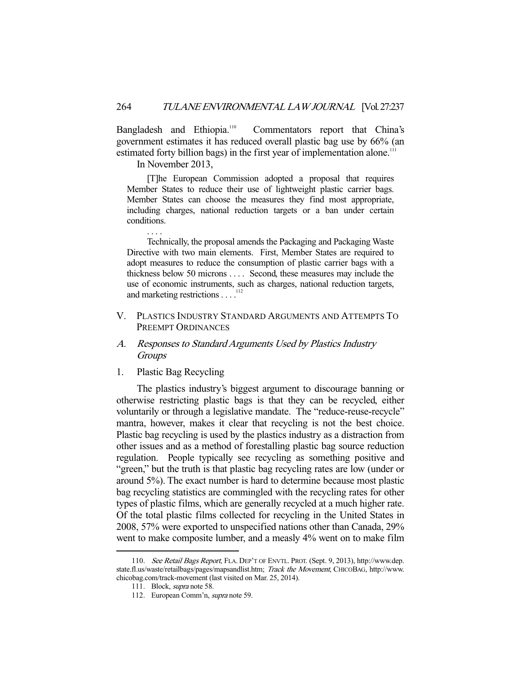Bangladesh and Ethiopia.<sup>110</sup> Commentators report that China's government estimates it has reduced overall plastic bag use by 66% (an estimated forty billion bags) in the first year of implementation alone.<sup>111</sup>

In November 2013,

. . . .

 [T]he European Commission adopted a proposal that requires Member States to reduce their use of lightweight plastic carrier bags. Member States can choose the measures they find most appropriate, including charges, national reduction targets or a ban under certain conditions.

 Technically, the proposal amends the Packaging and Packaging Waste Directive with two main elements. First, Member States are required to adopt measures to reduce the consumption of plastic carrier bags with a thickness below 50 microns . . . . Second, these measures may include the use of economic instruments, such as charges, national reduction targets, and marketing restrictions . . . .<sup>112</sup>

V. PLASTICS INDUSTRY STANDARD ARGUMENTS AND ATTEMPTS TO PREEMPT ORDINANCES

## A. Responses to Standard Arguments Used by Plastics Industry **Groups**

1. Plastic Bag Recycling

 The plastics industry's biggest argument to discourage banning or otherwise restricting plastic bags is that they can be recycled, either voluntarily or through a legislative mandate. The "reduce-reuse-recycle" mantra, however, makes it clear that recycling is not the best choice. Plastic bag recycling is used by the plastics industry as a distraction from other issues and as a method of forestalling plastic bag source reduction regulation. People typically see recycling as something positive and "green," but the truth is that plastic bag recycling rates are low (under or around 5%). The exact number is hard to determine because most plastic bag recycling statistics are commingled with the recycling rates for other types of plastic films, which are generally recycled at a much higher rate. Of the total plastic films collected for recycling in the United States in 2008, 57% were exported to unspecified nations other than Canada, 29% went to make composite lumber, and a measly 4% went on to make film

 <sup>110.</sup> See Retail Bags Report, FLA. DEP'T OF ENVTL. PROT. (Sept. 9, 2013), http://www.dep. state.fl.us/waste/retailbags/pages/mapsandlist.htm; Track the Movement, CHICOBAG, http://www. chicobag.com/track-movement (last visited on Mar. 25, 2014).

 <sup>111.</sup> Block, supra note 58.

 <sup>112.</sup> European Comm'n, supra note 59.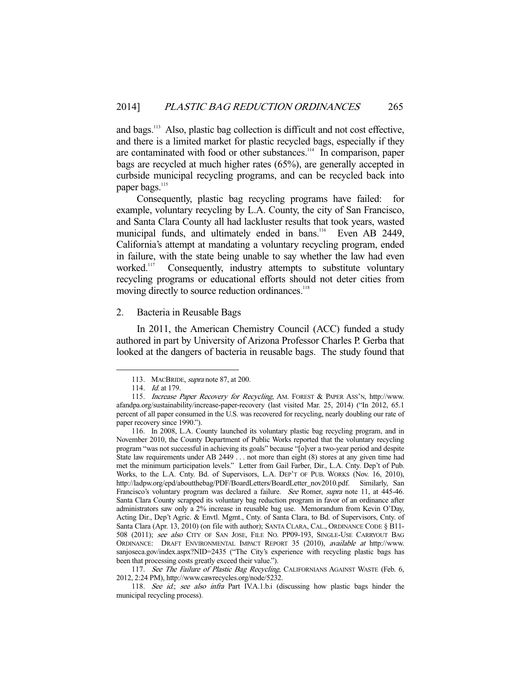and bags.<sup>113</sup> Also, plastic bag collection is difficult and not cost effective, and there is a limited market for plastic recycled bags, especially if they are contaminated with food or other substances.114 In comparison, paper bags are recycled at much higher rates (65%), are generally accepted in curbside municipal recycling programs, and can be recycled back into paper bags.<sup>115</sup>

 Consequently, plastic bag recycling programs have failed: for example, voluntary recycling by L.A. County, the city of San Francisco, and Santa Clara County all had lackluster results that took years, wasted municipal funds, and ultimately ended in bans.<sup>116</sup> Even AB 2449, California's attempt at mandating a voluntary recycling program, ended in failure, with the state being unable to say whether the law had even worked.<sup>117</sup> Consequently, industry attempts to substitute voluntary recycling programs or educational efforts should not deter cities from moving directly to source reduction ordinances.<sup>118</sup>

#### 2. Bacteria in Reusable Bags

 In 2011, the American Chemistry Council (ACC) funded a study authored in part by University of Arizona Professor Charles P. Gerba that looked at the dangers of bacteria in reusable bags. The study found that

<sup>113.</sup> MACBRIDE, *supra* note 87, at 200.

<sup>114.</sup> *Id.* at 179.

<sup>115.</sup> Increase Paper Recovery for Recycling, AM. FOREST & PAPER ASS'N, http://www. afandpa.org/sustainability/increase-paper-recovery (last visited Mar. 25, 2014) ("In 2012, 65.1 percent of all paper consumed in the U.S. was recovered for recycling, nearly doubling our rate of paper recovery since 1990.").

 <sup>116.</sup> In 2008, L.A. County launched its voluntary plastic bag recycling program, and in November 2010, the County Department of Public Works reported that the voluntary recycling program "was not successful in achieving its goals" because "[o]ver a two-year period and despite State law requirements under AB 2449 . . . not more than eight (8) stores at any given time had met the minimum participation levels." Letter from Gail Farber, Dir., L.A. Cnty. Dep't of Pub. Works, to the L.A. Cnty. Bd. of Supervisors, L.A. DEP'T OF PUB. WORKS (Nov. 16, 2010), http://ladpw.org/epd/aboutthebag/PDF/BoardLetters/BoardLetter\_nov2010.pdf. Similarly, San Francisco's voluntary program was declared a failure. See Romer, supra note 11, at 445-46. Santa Clara County scrapped its voluntary bag reduction program in favor of an ordinance after administrators saw only a 2% increase in reusable bag use. Memorandum from Kevin O'Day, Acting Dir., Dep't Agric. & Envtl. Mgmt., Cnty. of Santa Clara, to Bd. of Supervisors, Cnty. of Santa Clara (Apr. 13, 2010) (on file with author); SANTA CLARA, CAL., ORDINANCE CODE § B11- 508 (2011); see also CITY OF SAN JOSE, FILE NO. PP09-193, SINGLE-USE CARRYOUT BAG ORDINANCE: DRAFT ENVIRONMENTAL IMPACT REPORT 35 (2010), available at http://www. sanjoseca.gov/index.aspx?NID=2435 ("The City's experience with recycling plastic bags has been that processing costs greatly exceed their value.").

<sup>117.</sup> See The Failure of Plastic Bag Recycling, CALIFORNIANS AGAINST WASTE (Feb. 6, 2012, 2:24 PM), http://www.cawrecycles.org/node/5232.

 <sup>118.</sup> See id.; see also infra Part IV.A.1.b.i (discussing how plastic bags hinder the municipal recycling process).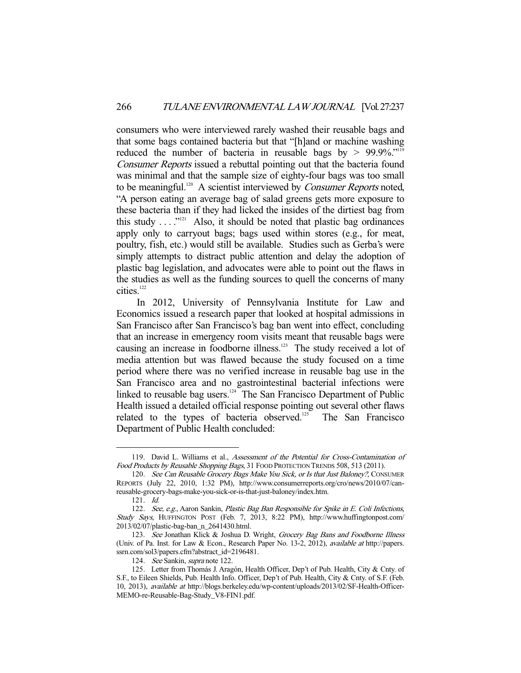consumers who were interviewed rarely washed their reusable bags and that some bags contained bacteria but that "[h]and or machine washing reduced the number of bacteria in reusable bags by  $> 99.9\%$ ."<sup>119</sup> Consumer Reports issued a rebuttal pointing out that the bacteria found was minimal and that the sample size of eighty-four bags was too small to be meaningful.<sup>120</sup> A scientist interviewed by *Consumer Reports* noted, "A person eating an average bag of salad greens gets more exposure to these bacteria than if they had licked the insides of the dirtiest bag from this study  $\dots$  ..."<sup>121</sup> Also, it should be noted that plastic bag ordinances apply only to carryout bags; bags used within stores (e.g., for meat, poultry, fish, etc.) would still be available. Studies such as Gerba's were simply attempts to distract public attention and delay the adoption of plastic bag legislation, and advocates were able to point out the flaws in the studies as well as the funding sources to quell the concerns of many cities.<sup>122</sup>

 In 2012, University of Pennsylvania Institute for Law and Economics issued a research paper that looked at hospital admissions in San Francisco after San Francisco's bag ban went into effect, concluding that an increase in emergency room visits meant that reusable bags were causing an increase in foodborne illness.<sup>123</sup> The study received a lot of media attention but was flawed because the study focused on a time period where there was no verified increase in reusable bag use in the San Francisco area and no gastrointestinal bacterial infections were linked to reusable bag users.<sup>124</sup> The San Francisco Department of Public Health issued a detailed official response pointing out several other flaws related to the types of bacteria observed.<sup>125</sup> The San Francisco Department of Public Health concluded:

 <sup>119.</sup> David L. Williams et al., Assessment of the Potential for Cross-Contamination of Food Products by Reusable Shopping Bags, 31 FOOD PROTECTION TRENDS 508, 513 (2011).

<sup>120.</sup> See Can Reusable Grocery Bags Make You Sick, or Is that Just Baloney?, CONSUMER REPORTS (July 22, 2010, 1:32 PM), http://www.consumerreports.org/cro/news/2010/07/canreusable-grocery-bags-make-you-sick-or-is-that-just-baloney/index.htm.

 <sup>121.</sup> Id.

<sup>122.</sup> See, e.g., Aaron Sankin, Plastic Bag Ban Responsible for Spike in E. Coli Infections, Study Says, HUFFINGTON POST (Feb. 7, 2013, 8:22 PM), http://www.huffingtonpost.com/ 2013/02/07/plastic-bag-ban\_n\_2641430.html.

<sup>123.</sup> See Jonathan Klick & Joshua D. Wright, Grocery Bag Bans and Foodborne Illness (Univ. of Pa. Inst. for Law & Econ., Research Paper No. 13-2, 2012), available at http://papers. ssrn.com/sol3/papers.cfm?abstract\_id=2196481.

 <sup>124.</sup> See Sankin, supra note 122.

 <sup>125.</sup> Letter from Thomás J. Aragón, Health Officer, Dep't of Pub. Health, City & Cnty. of S.F., to Eileen Shields, Pub. Health Info. Officer, Dep't of Pub. Health, City & Cnty. of S.F. (Feb. 10, 2013), available at http://blogs.berkeley.edu/wp-content/uploads/2013/02/SF-Health-Officer-MEMO-re-Reusable-Bag-Study\_V8-FIN1.pdf.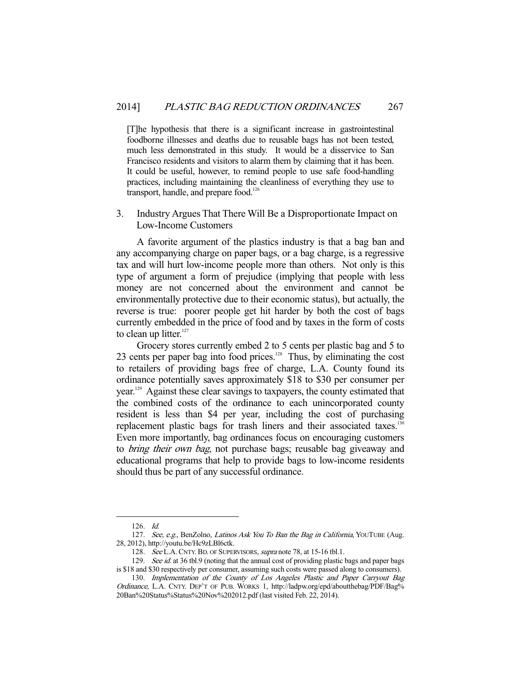[T]he hypothesis that there is a significant increase in gastrointestinal foodborne illnesses and deaths due to reusable bags has not been tested, much less demonstrated in this study. It would be a disservice to San Francisco residents and visitors to alarm them by claiming that it has been. It could be useful, however, to remind people to use safe food-handling practices, including maintaining the cleanliness of everything they use to transport, handle, and prepare food.<sup>126</sup>

3. Industry Argues That There Will Be a Disproportionate Impact on Low-Income Customers

 A favorite argument of the plastics industry is that a bag ban and any accompanying charge on paper bags, or a bag charge, is a regressive tax and will hurt low-income people more than others. Not only is this type of argument a form of prejudice (implying that people with less money are not concerned about the environment and cannot be environmentally protective due to their economic status), but actually, the reverse is true: poorer people get hit harder by both the cost of bags currently embedded in the price of food and by taxes in the form of costs to clean up litter. $127$ 

 Grocery stores currently embed 2 to 5 cents per plastic bag and 5 to 23 cents per paper bag into food prices.<sup>128</sup> Thus, by eliminating the cost to retailers of providing bags free of charge, L.A. County found its ordinance potentially saves approximately \$18 to \$30 per consumer per year.129 Against these clear savings to taxpayers, the county estimated that the combined costs of the ordinance to each unincorporated county resident is less than \$4 per year, including the cost of purchasing replacement plastic bags for trash liners and their associated taxes.<sup>130</sup> Even more importantly, bag ordinances focus on encouraging customers to bring their own bag, not purchase bags; reusable bag giveaway and educational programs that help to provide bags to low-income residents should thus be part of any successful ordinance.

 <sup>126.</sup> Id.

<sup>127.</sup> See, e.g., BenZolno, Latinos Ask You To Ban the Bag in California, YOUTUBE (Aug. 28, 2012), http://youtu.be/Hc9zLBl6ctk.

<sup>128.</sup> See L.A. CNTY. BD. OF SUPERVISORS, supra note 78, at 15-16 tbl.1.

<sup>129.</sup> See id. at 36 tbl.9 (noting that the annual cost of providing plastic bags and paper bags is \$18 and \$30 respectively per consumer, assuming such costs were passed along to consumers).

 <sup>130.</sup> Implementation of the County of Los Angeles Plastic and Paper Carryout Bag Ordinance, L.A. CNTY. DEP'T OF PUB. WORKS 1, http://ladpw.org/epd/aboutthebag/PDF/Bag% 20Ban%20Status%Status%20Nov%202012.pdf (last visited Feb. 22, 2014).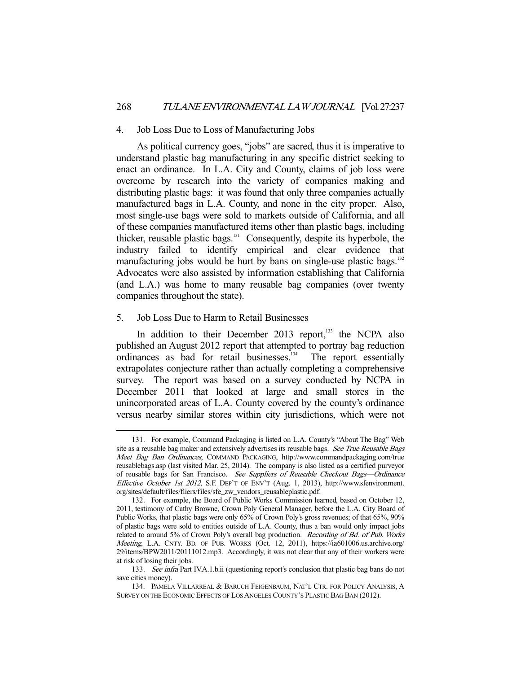#### 4. Job Loss Due to Loss of Manufacturing Jobs

 As political currency goes, "jobs" are sacred, thus it is imperative to understand plastic bag manufacturing in any specific district seeking to enact an ordinance. In L.A. City and County, claims of job loss were overcome by research into the variety of companies making and distributing plastic bags: it was found that only three companies actually manufactured bags in L.A. County, and none in the city proper. Also, most single-use bags were sold to markets outside of California, and all of these companies manufactured items other than plastic bags, including thicker, reusable plastic bags.<sup>131</sup> Consequently, despite its hyperbole, the industry failed to identify empirical and clear evidence that manufacturing jobs would be hurt by bans on single-use plastic bags.<sup>132</sup> Advocates were also assisted by information establishing that California (and L.A.) was home to many reusable bag companies (over twenty companies throughout the state).

### 5. Job Loss Due to Harm to Retail Businesses

-

In addition to their December 2013 report, $^{133}$  the NCPA also published an August 2012 report that attempted to portray bag reduction ordinances as bad for retail businesses.<sup>134</sup> The report essentially extrapolates conjecture rather than actually completing a comprehensive survey. The report was based on a survey conducted by NCPA in December 2011 that looked at large and small stores in the unincorporated areas of L.A. County covered by the county's ordinance versus nearby similar stores within city jurisdictions, which were not

 <sup>131.</sup> For example, Command Packaging is listed on L.A. County's "About The Bag" Web site as a reusable bag maker and extensively advertises its reusable bags. See True Reusable Bags Meet Bag Ban Ordinances, COMMAND PACKAGING, http://www.commandpackaging.com/true reusablebags.asp (last visited Mar. 25, 2014). The company is also listed as a certified purveyor of reusable bags for San Francisco. See Suppliers of Reusable Checkout Bags—Ordinance Effective October 1st 2012, S.F. DEP'T OF ENV'T (Aug. 1, 2013), http://www.sfenvironment. org/sites/default/files/fliers/files/sfe\_zw\_vendors\_reusableplastic.pdf.

 <sup>132.</sup> For example, the Board of Public Works Commission learned, based on October 12, 2011, testimony of Cathy Browne, Crown Poly General Manager, before the L.A. City Board of Public Works, that plastic bags were only 65% of Crown Poly's gross revenues; of that 65%, 90% of plastic bags were sold to entities outside of L.A. County, thus a ban would only impact jobs related to around 5% of Crown Poly's overall bag production. Recording of Bd. of Pub. Works Meeting, L.A. CNTY. BD. OF PUB. WORKS (Oct. 12, 2011), https://ia601006.us.archive.org/ 29/items/BPW2011/20111012.mp3. Accordingly, it was not clear that any of their workers were at risk of losing their jobs.

<sup>133.</sup> See infra Part IV.A.1.b.ii (questioning report's conclusion that plastic bag bans do not save cities money).

 <sup>134.</sup> PAMELA VILLARREAL & BARUCH FEIGENBAUM, NAT'L CTR. FOR POLICY ANALYSIS, A SURVEY ON THE ECONOMIC EFFECTS OF LOS ANGELES COUNTY'S PLASTIC BAG BAN (2012).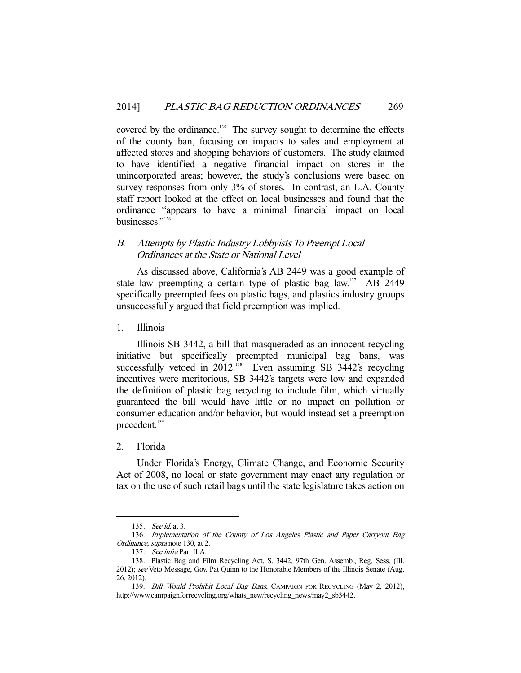covered by the ordinance.<sup>135</sup> The survey sought to determine the effects of the county ban, focusing on impacts to sales and employment at affected stores and shopping behaviors of customers. The study claimed to have identified a negative financial impact on stores in the unincorporated areas; however, the study's conclusions were based on survey responses from only 3% of stores. In contrast, an L.A. County staff report looked at the effect on local businesses and found that the ordinance "appears to have a minimal financial impact on local businesses."136

## B. Attempts by Plastic Industry Lobbyists To Preempt Local Ordinances at the State or National Level

 As discussed above, California's AB 2449 was a good example of state law preempting a certain type of plastic bag law.<sup>137</sup> AB 2449 specifically preempted fees on plastic bags, and plastics industry groups unsuccessfully argued that field preemption was implied.

1. Illinois

 Illinois SB 3442, a bill that masqueraded as an innocent recycling initiative but specifically preempted municipal bag bans, was successfully vetoed in 2012.<sup>138</sup> Even assuming SB 3442's recycling incentives were meritorious, SB 3442's targets were low and expanded the definition of plastic bag recycling to include film, which virtually guaranteed the bill would have little or no impact on pollution or consumer education and/or behavior, but would instead set a preemption precedent.<sup>139</sup>

#### 2. Florida

-

 Under Florida's Energy, Climate Change, and Economic Security Act of 2008, no local or state government may enact any regulation or tax on the use of such retail bags until the state legislature takes action on

 <sup>135.</sup> See id. at 3.

<sup>136.</sup> Implementation of the County of Los Angeles Plastic and Paper Carryout Bag Ordinance, supra note 130, at 2.

 <sup>137.</sup> See infra Part II.A.

 <sup>138.</sup> Plastic Bag and Film Recycling Act, S. 3442, 97th Gen. Assemb., Reg. Sess. (Ill. 2012); see Veto Message, Gov. Pat Quinn to the Honorable Members of the Illinois Senate (Aug. 26, 2012).

<sup>139.</sup> Bill Would Prohibit Local Bag Bans, CAMPAIGN FOR RECYCLING (May 2, 2012), http://www.campaignforrecycling.org/whats\_new/recycling\_news/may2\_sb3442.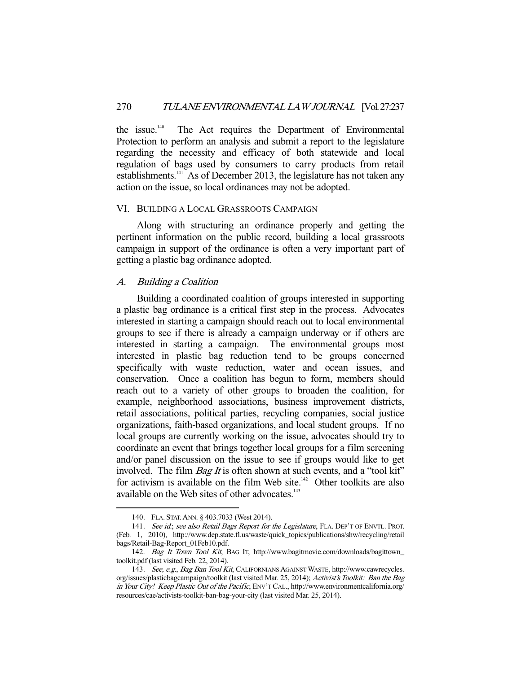the issue.140 The Act requires the Department of Environmental Protection to perform an analysis and submit a report to the legislature regarding the necessity and efficacy of both statewide and local regulation of bags used by consumers to carry products from retail establishments. $141$  As of December 2013, the legislature has not taken any action on the issue, so local ordinances may not be adopted.

#### VI. BUILDING A LOCAL GRASSROOTS CAMPAIGN

 Along with structuring an ordinance properly and getting the pertinent information on the public record, building a local grassroots campaign in support of the ordinance is often a very important part of getting a plastic bag ordinance adopted.

#### A. Building a Coalition

 Building a coordinated coalition of groups interested in supporting a plastic bag ordinance is a critical first step in the process. Advocates interested in starting a campaign should reach out to local environmental groups to see if there is already a campaign underway or if others are interested in starting a campaign. The environmental groups most interested in plastic bag reduction tend to be groups concerned specifically with waste reduction, water and ocean issues, and conservation. Once a coalition has begun to form, members should reach out to a variety of other groups to broaden the coalition, for example, neighborhood associations, business improvement districts, retail associations, political parties, recycling companies, social justice organizations, faith-based organizations, and local student groups. If no local groups are currently working on the issue, advocates should try to coordinate an event that brings together local groups for a film screening and/or panel discussion on the issue to see if groups would like to get involved. The film *Bag It* is often shown at such events, and a "tool kit" for activism is available on the film Web site. $142$  Other toolkits are also available on the Web sites of other advocates.<sup>143</sup>

 <sup>140.</sup> FLA. STAT.ANN. § 403.7033 (West 2014).

<sup>141.</sup> See id.; see also Retail Bags Report for the Legislature, FLA. DEP'T OF ENVTL. PROT. (Feb. 1, 2010), http://www.dep.state.fl.us/waste/quick\_topics/publications/shw/recycling/retail bags/Retail-Bag-Report\_01Feb10.pdf.

 <sup>142.</sup> Bag It Town Tool Kit, BAG IT, http://www.bagitmovie.com/downloads/bagittown\_ toolkit.pdf (last visited Feb. 22, 2014).

<sup>143.</sup> See, e.g., Bag Ban Tool Kit, CALIFORNIANS AGAINST WASTE, http://www.cawrecycles. org/issues/plasticbagcampaign/toolkit (last visited Mar. 25, 2014); Activist's Toolkit: Ban the Bag in Your City! Keep Plastic Out of the Pacific, ENV'T CAL., http://www.environmentcalifornia.org/ resources/cae/activists-toolkit-ban-bag-your-city (last visited Mar. 25, 2014).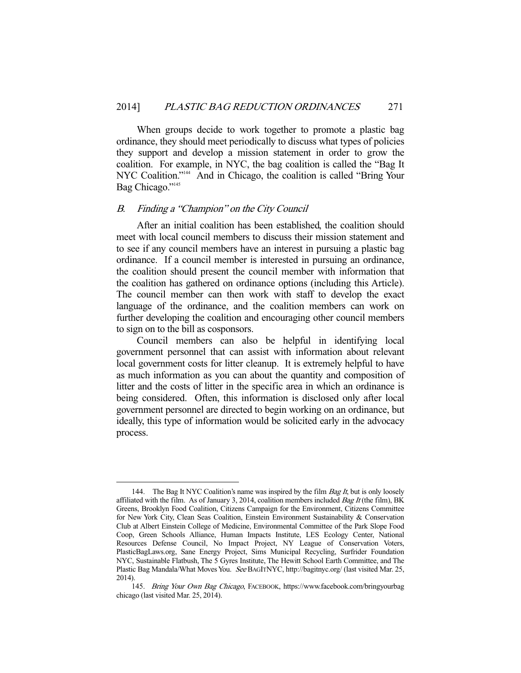When groups decide to work together to promote a plastic bag ordinance, they should meet periodically to discuss what types of policies they support and develop a mission statement in order to grow the coalition. For example, in NYC, the bag coalition is called the "Bag It NYC Coalition."<sup>144</sup> And in Chicago, the coalition is called "Bring Your Bag Chicago."<sup>145</sup>

#### B. Finding a "Champion" on the City Council

-

 After an initial coalition has been established, the coalition should meet with local council members to discuss their mission statement and to see if any council members have an interest in pursuing a plastic bag ordinance. If a council member is interested in pursuing an ordinance, the coalition should present the council member with information that the coalition has gathered on ordinance options (including this Article). The council member can then work with staff to develop the exact language of the ordinance, and the coalition members can work on further developing the coalition and encouraging other council members to sign on to the bill as cosponsors.

 Council members can also be helpful in identifying local government personnel that can assist with information about relevant local government costs for litter cleanup. It is extremely helpful to have as much information as you can about the quantity and composition of litter and the costs of litter in the specific area in which an ordinance is being considered. Often, this information is disclosed only after local government personnel are directed to begin working on an ordinance, but ideally, this type of information would be solicited early in the advocacy process.

<sup>144.</sup> The Bag It NYC Coalition's name was inspired by the film  $Bag \ It$ , but is only loosely affiliated with the film. As of January 3, 2014, coalition members included *Bag It* (the film), BK Greens, Brooklyn Food Coalition, Citizens Campaign for the Environment, Citizens Committee for New York City, Clean Seas Coalition, Einstein Environment Sustainability & Conservation Club at Albert Einstein College of Medicine, Environmental Committee of the Park Slope Food Coop, Green Schools Alliance, Human Impacts Institute, LES Ecology Center, National Resources Defense Council, No Impact Project, NY League of Conservation Voters, PlasticBagLaws.org, Sane Energy Project, Sims Municipal Recycling, Surfrider Foundation NYC, Sustainable Flatbush, The 5 Gyres Institute, The Hewitt School Earth Committee, and The Plastic Bag Mandala/What Moves You. See BAGITNYC, http://bagitnyc.org/ (last visited Mar. 25, 2014).

 <sup>145.</sup> Bring Your Own Bag Chicago, FACEBOOK, https://www.facebook.com/bringyourbag chicago (last visited Mar. 25, 2014).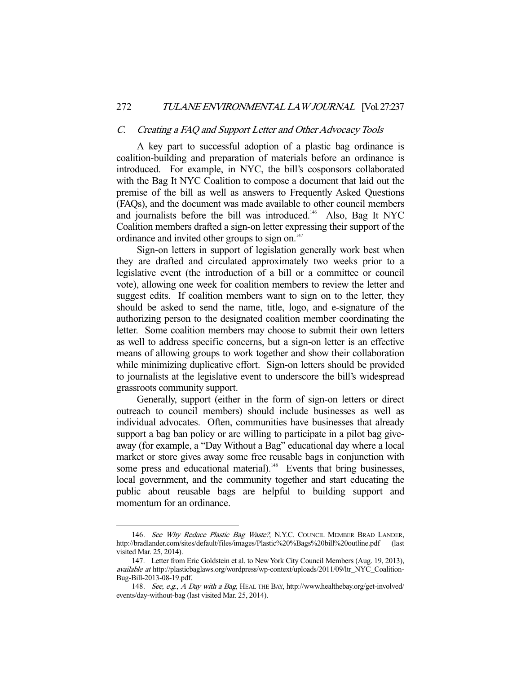#### C. Creating a FAQ and Support Letter and Other Advocacy Tools

 A key part to successful adoption of a plastic bag ordinance is coalition-building and preparation of materials before an ordinance is introduced. For example, in NYC, the bill's cosponsors collaborated with the Bag It NYC Coalition to compose a document that laid out the premise of the bill as well as answers to Frequently Asked Questions (FAQs), and the document was made available to other council members and journalists before the bill was introduced.<sup>146</sup> Also, Bag It NYC Coalition members drafted a sign-on letter expressing their support of the ordinance and invited other groups to sign on.<sup>147</sup>

 Sign-on letters in support of legislation generally work best when they are drafted and circulated approximately two weeks prior to a legislative event (the introduction of a bill or a committee or council vote), allowing one week for coalition members to review the letter and suggest edits. If coalition members want to sign on to the letter, they should be asked to send the name, title, logo, and e-signature of the authorizing person to the designated coalition member coordinating the letter. Some coalition members may choose to submit their own letters as well to address specific concerns, but a sign-on letter is an effective means of allowing groups to work together and show their collaboration while minimizing duplicative effort. Sign-on letters should be provided to journalists at the legislative event to underscore the bill's widespread grassroots community support.

 Generally, support (either in the form of sign-on letters or direct outreach to council members) should include businesses as well as individual advocates. Often, communities have businesses that already support a bag ban policy or are willing to participate in a pilot bag giveaway (for example, a "Day Without a Bag" educational day where a local market or store gives away some free reusable bags in conjunction with some press and educational material).<sup>148</sup> Events that bring businesses, local government, and the community together and start educating the public about reusable bags are helpful to building support and momentum for an ordinance.

<sup>146.</sup> See Why Reduce Plastic Bag Waste?, N.Y.C. COUNCIL MEMBER BRAD LANDER, http://bradlander.com/sites/default/files/images/Plastic%20%Bags%20bill%20outline.pdf (last visited Mar. 25, 2014).

 <sup>147.</sup> Letter from Eric Goldstein et al. to New York City Council Members (Aug. 19, 2013), available at http://plasticbaglaws.org/wordpress/wp-context/uploads/2011/09/ltr\_NYC\_Coalition-Bug-Bill-2013-08-19.pdf.

<sup>148.</sup> See, e.g., A Day with a Bag, HEAL THE BAY, http://www.healthebay.org/get-involved/ events/day-without-bag (last visited Mar. 25, 2014).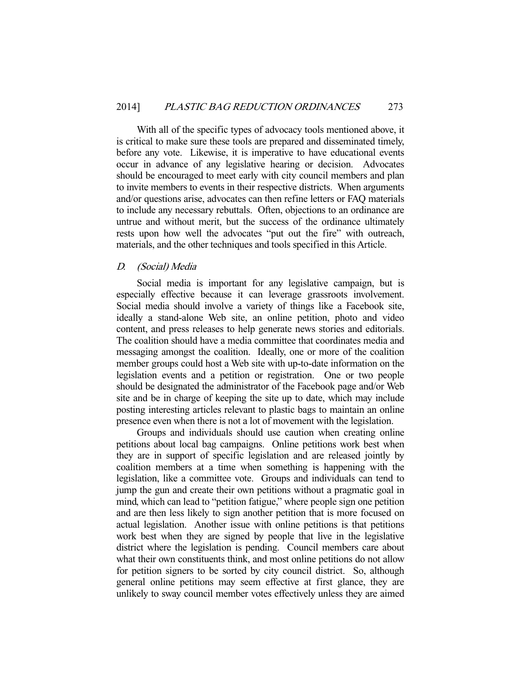With all of the specific types of advocacy tools mentioned above, it is critical to make sure these tools are prepared and disseminated timely, before any vote. Likewise, it is imperative to have educational events occur in advance of any legislative hearing or decision. Advocates should be encouraged to meet early with city council members and plan to invite members to events in their respective districts. When arguments and/or questions arise, advocates can then refine letters or FAQ materials to include any necessary rebuttals. Often, objections to an ordinance are untrue and without merit, but the success of the ordinance ultimately rests upon how well the advocates "put out the fire" with outreach, materials, and the other techniques and tools specified in this Article.

## D. (Social) Media

 Social media is important for any legislative campaign, but is especially effective because it can leverage grassroots involvement. Social media should involve a variety of things like a Facebook site, ideally a stand-alone Web site, an online petition, photo and video content, and press releases to help generate news stories and editorials. The coalition should have a media committee that coordinates media and messaging amongst the coalition. Ideally, one or more of the coalition member groups could host a Web site with up-to-date information on the legislation events and a petition or registration. One or two people should be designated the administrator of the Facebook page and/or Web site and be in charge of keeping the site up to date, which may include posting interesting articles relevant to plastic bags to maintain an online presence even when there is not a lot of movement with the legislation.

 Groups and individuals should use caution when creating online petitions about local bag campaigns. Online petitions work best when they are in support of specific legislation and are released jointly by coalition members at a time when something is happening with the legislation, like a committee vote. Groups and individuals can tend to jump the gun and create their own petitions without a pragmatic goal in mind, which can lead to "petition fatigue," where people sign one petition and are then less likely to sign another petition that is more focused on actual legislation. Another issue with online petitions is that petitions work best when they are signed by people that live in the legislative district where the legislation is pending. Council members care about what their own constituents think, and most online petitions do not allow for petition signers to be sorted by city council district. So, although general online petitions may seem effective at first glance, they are unlikely to sway council member votes effectively unless they are aimed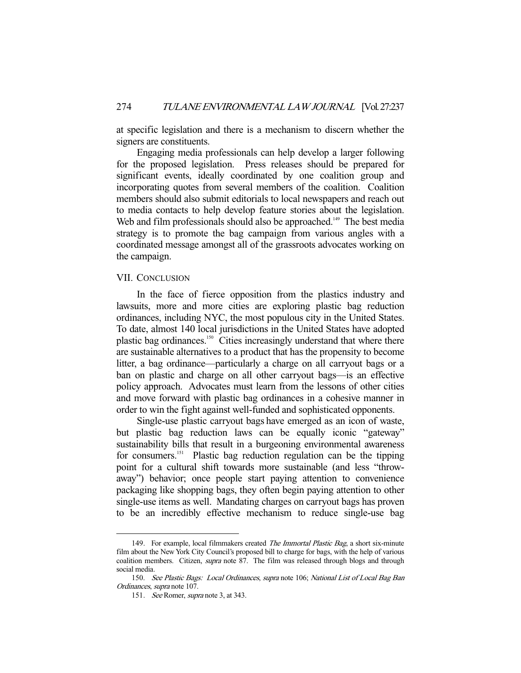at specific legislation and there is a mechanism to discern whether the signers are constituents.

 Engaging media professionals can help develop a larger following for the proposed legislation. Press releases should be prepared for significant events, ideally coordinated by one coalition group and incorporating quotes from several members of the coalition. Coalition members should also submit editorials to local newspapers and reach out to media contacts to help develop feature stories about the legislation. Web and film professionals should also be approached.<sup>149</sup> The best media strategy is to promote the bag campaign from various angles with a coordinated message amongst all of the grassroots advocates working on the campaign.

#### VII. CONCLUSION

 In the face of fierce opposition from the plastics industry and lawsuits, more and more cities are exploring plastic bag reduction ordinances, including NYC, the most populous city in the United States. To date, almost 140 local jurisdictions in the United States have adopted plastic bag ordinances.<sup>150</sup> Cities increasingly understand that where there are sustainable alternatives to a product that has the propensity to become litter, a bag ordinance—particularly a charge on all carryout bags or a ban on plastic and charge on all other carryout bags—is an effective policy approach. Advocates must learn from the lessons of other cities and move forward with plastic bag ordinances in a cohesive manner in order to win the fight against well-funded and sophisticated opponents.

 Single-use plastic carryout bags have emerged as an icon of waste, but plastic bag reduction laws can be equally iconic "gateway" sustainability bills that result in a burgeoning environmental awareness for consumers.151 Plastic bag reduction regulation can be the tipping point for a cultural shift towards more sustainable (and less "throwaway") behavior; once people start paying attention to convenience packaging like shopping bags, they often begin paying attention to other single-use items as well. Mandating charges on carryout bags has proven to be an incredibly effective mechanism to reduce single-use bag

<sup>149.</sup> For example, local filmmakers created The Immortal Plastic Bag, a short six-minute film about the New York City Council's proposed bill to charge for bags, with the help of various coalition members. Citizen, *supra* note 87. The film was released through blogs and through social media.

 <sup>150.</sup> See Plastic Bags: Local Ordinances, supra note 106; National List of Local Bag Ban Ordinances, supra note 107.

<sup>151.</sup> See Romer, supra note 3, at 343.